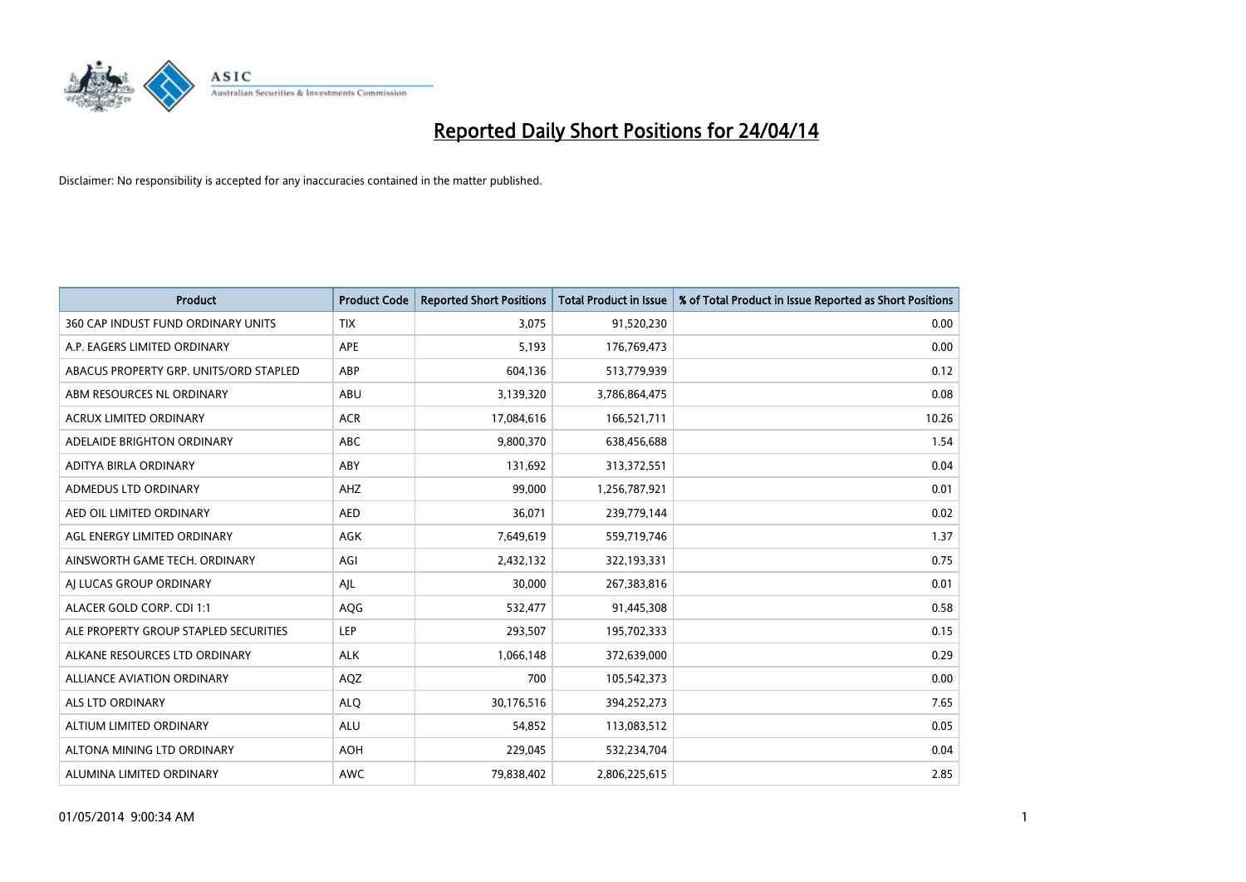

| <b>Product</b>                         | <b>Product Code</b> | <b>Reported Short Positions</b> | <b>Total Product in Issue</b> | % of Total Product in Issue Reported as Short Positions |
|----------------------------------------|---------------------|---------------------------------|-------------------------------|---------------------------------------------------------|
| 360 CAP INDUST FUND ORDINARY UNITS     | <b>TIX</b>          | 3,075                           | 91,520,230                    | 0.00                                                    |
| A.P. EAGERS LIMITED ORDINARY           | APE                 | 5,193                           | 176,769,473                   | 0.00                                                    |
| ABACUS PROPERTY GRP. UNITS/ORD STAPLED | ABP                 | 604,136                         | 513,779,939                   | 0.12                                                    |
| ABM RESOURCES NL ORDINARY              | ABU                 | 3,139,320                       | 3,786,864,475                 | 0.08                                                    |
| <b>ACRUX LIMITED ORDINARY</b>          | <b>ACR</b>          | 17,084,616                      | 166,521,711                   | 10.26                                                   |
| ADELAIDE BRIGHTON ORDINARY             | <b>ABC</b>          | 9,800,370                       | 638,456,688                   | 1.54                                                    |
| ADITYA BIRLA ORDINARY                  | ABY                 | 131,692                         | 313,372,551                   | 0.04                                                    |
| ADMEDUS LTD ORDINARY                   | AHZ                 | 99,000                          | 1,256,787,921                 | 0.01                                                    |
| AED OIL LIMITED ORDINARY               | <b>AED</b>          | 36,071                          | 239,779,144                   | 0.02                                                    |
| AGL ENERGY LIMITED ORDINARY            | <b>AGK</b>          | 7,649,619                       | 559,719,746                   | 1.37                                                    |
| AINSWORTH GAME TECH. ORDINARY          | AGI                 | 2,432,132                       | 322,193,331                   | 0.75                                                    |
| AI LUCAS GROUP ORDINARY                | AJL                 | 30,000                          | 267,383,816                   | 0.01                                                    |
| ALACER GOLD CORP. CDI 1:1              | AQG                 | 532,477                         | 91,445,308                    | 0.58                                                    |
| ALE PROPERTY GROUP STAPLED SECURITIES  | LEP                 | 293,507                         | 195,702,333                   | 0.15                                                    |
| ALKANE RESOURCES LTD ORDINARY          | <b>ALK</b>          | 1,066,148                       | 372,639,000                   | 0.29                                                    |
| ALLIANCE AVIATION ORDINARY             | AQZ                 | 700                             | 105,542,373                   | 0.00                                                    |
| ALS LTD ORDINARY                       | <b>ALQ</b>          | 30,176,516                      | 394,252,273                   | 7.65                                                    |
| ALTIUM LIMITED ORDINARY                | ALU                 | 54,852                          | 113,083,512                   | 0.05                                                    |
| ALTONA MINING LTD ORDINARY             | <b>AOH</b>          | 229,045                         | 532,234,704                   | 0.04                                                    |
| ALUMINA LIMITED ORDINARY               | <b>AWC</b>          | 79,838,402                      | 2,806,225,615                 | 2.85                                                    |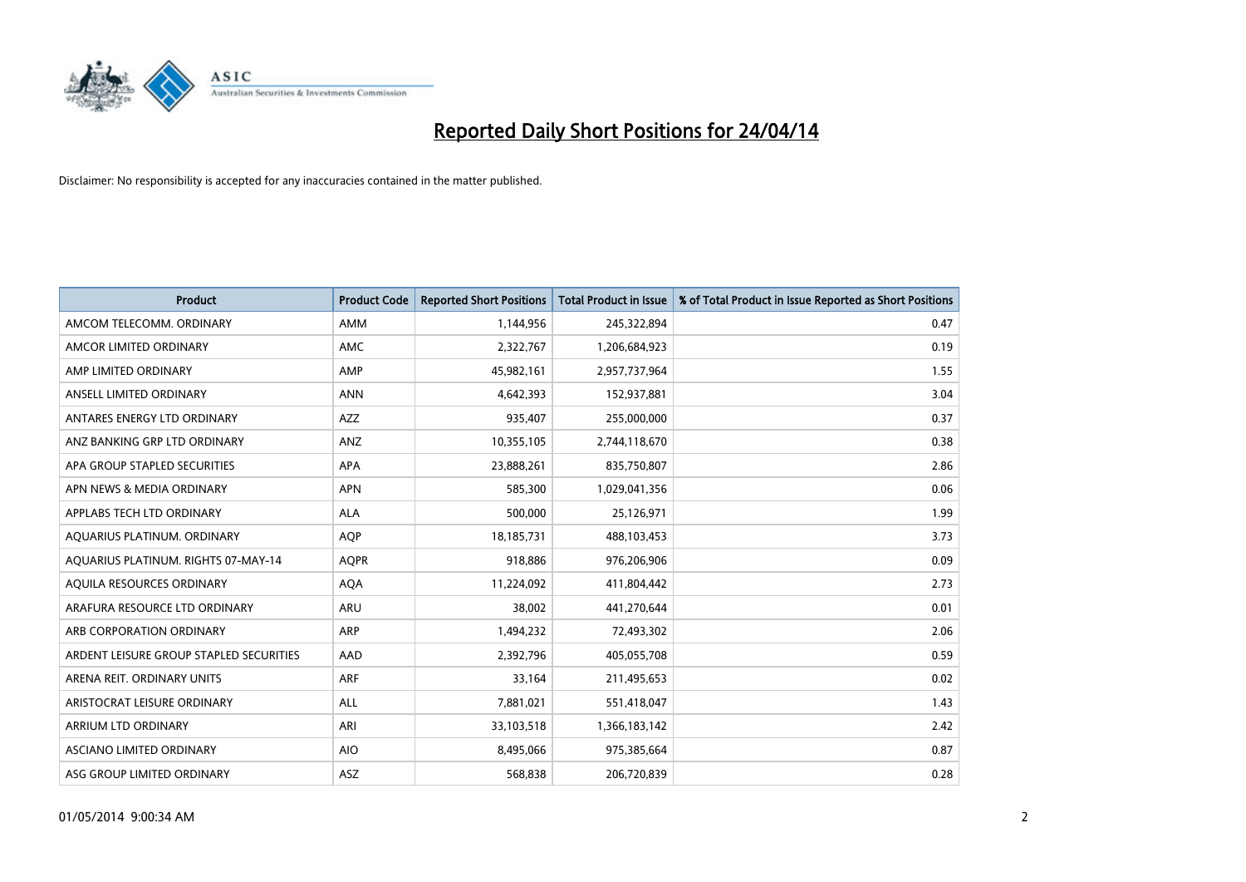

| <b>Product</b>                          | <b>Product Code</b> | <b>Reported Short Positions</b> | <b>Total Product in Issue</b> | % of Total Product in Issue Reported as Short Positions |
|-----------------------------------------|---------------------|---------------------------------|-------------------------------|---------------------------------------------------------|
| AMCOM TELECOMM, ORDINARY                | <b>AMM</b>          | 1,144,956                       | 245,322,894                   | 0.47                                                    |
| AMCOR LIMITED ORDINARY                  | AMC                 | 2,322,767                       | 1,206,684,923                 | 0.19                                                    |
| AMP LIMITED ORDINARY                    | AMP                 | 45,982,161                      | 2,957,737,964                 | 1.55                                                    |
| ANSELL LIMITED ORDINARY                 | <b>ANN</b>          | 4,642,393                       | 152,937,881                   | 3.04                                                    |
| ANTARES ENERGY LTD ORDINARY             | <b>AZZ</b>          | 935,407                         | 255,000,000                   | 0.37                                                    |
| ANZ BANKING GRP LTD ORDINARY            | ANZ                 | 10,355,105                      | 2,744,118,670                 | 0.38                                                    |
| APA GROUP STAPLED SECURITIES            | APA                 | 23,888,261                      | 835,750,807                   | 2.86                                                    |
| APN NEWS & MEDIA ORDINARY               | <b>APN</b>          | 585,300                         | 1,029,041,356                 | 0.06                                                    |
| APPLABS TECH LTD ORDINARY               | <b>ALA</b>          | 500,000                         | 25,126,971                    | 1.99                                                    |
| AOUARIUS PLATINUM. ORDINARY             | <b>AOP</b>          | 18,185,731                      | 488,103,453                   | 3.73                                                    |
| AQUARIUS PLATINUM. RIGHTS 07-MAY-14     | <b>AQPR</b>         | 918,886                         | 976,206,906                   | 0.09                                                    |
| AQUILA RESOURCES ORDINARY               | <b>AQA</b>          | 11,224,092                      | 411,804,442                   | 2.73                                                    |
| ARAFURA RESOURCE LTD ORDINARY           | <b>ARU</b>          | 38,002                          | 441,270,644                   | 0.01                                                    |
| ARB CORPORATION ORDINARY                | <b>ARP</b>          | 1,494,232                       | 72,493,302                    | 2.06                                                    |
| ARDENT LEISURE GROUP STAPLED SECURITIES | AAD                 | 2,392,796                       | 405,055,708                   | 0.59                                                    |
| ARENA REIT. ORDINARY UNITS              | ARF                 | 33,164                          | 211,495,653                   | 0.02                                                    |
| ARISTOCRAT LEISURE ORDINARY             | ALL                 | 7,881,021                       | 551,418,047                   | 1.43                                                    |
| ARRIUM LTD ORDINARY                     | ARI                 | 33,103,518                      | 1,366,183,142                 | 2.42                                                    |
| ASCIANO LIMITED ORDINARY                | <b>AIO</b>          | 8,495,066                       | 975,385,664                   | 0.87                                                    |
| ASG GROUP LIMITED ORDINARY              | ASZ                 | 568,838                         | 206,720,839                   | 0.28                                                    |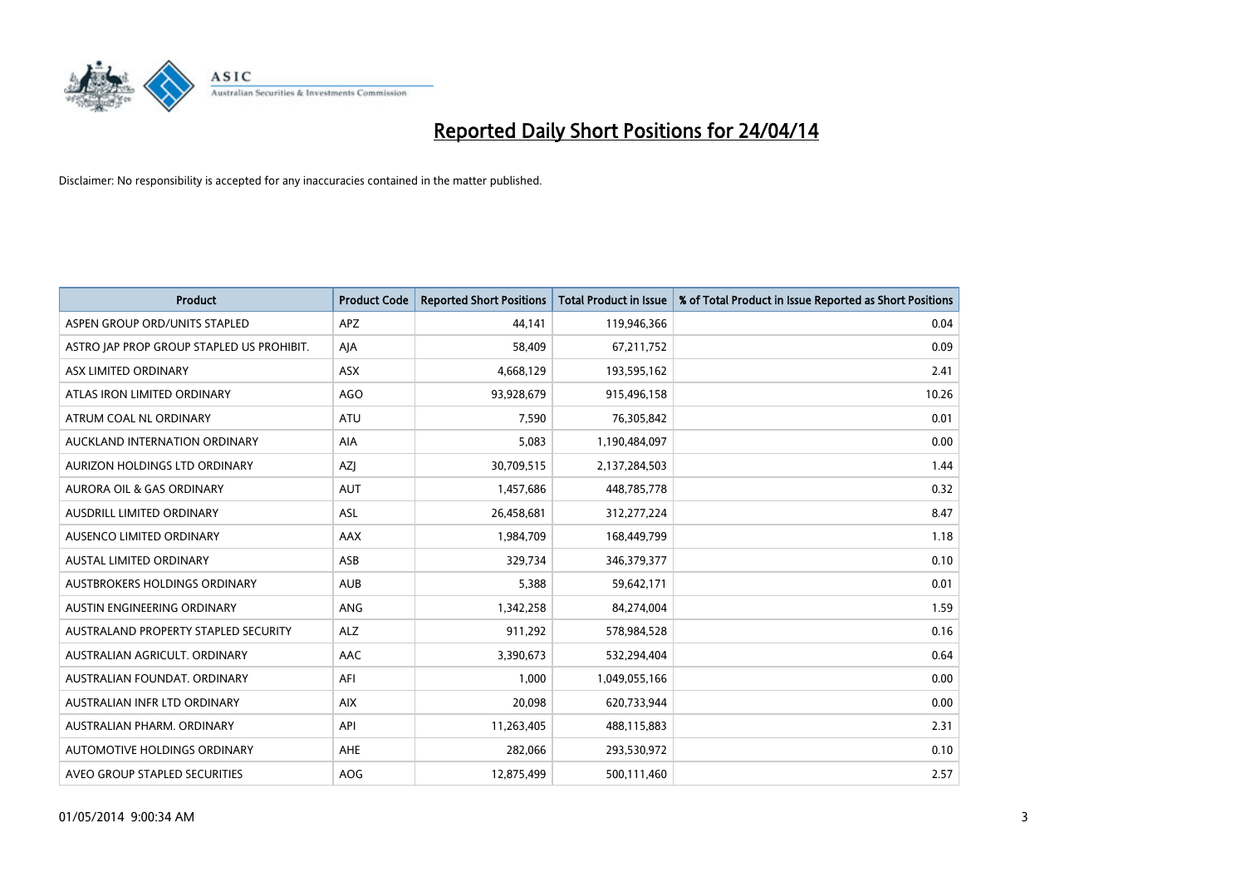

| <b>Product</b>                            | <b>Product Code</b> | <b>Reported Short Positions</b> | <b>Total Product in Issue</b> | % of Total Product in Issue Reported as Short Positions |
|-------------------------------------------|---------------------|---------------------------------|-------------------------------|---------------------------------------------------------|
| ASPEN GROUP ORD/UNITS STAPLED             | <b>APZ</b>          | 44,141                          | 119,946,366                   | 0.04                                                    |
| ASTRO JAP PROP GROUP STAPLED US PROHIBIT. | AJA                 | 58,409                          | 67,211,752                    | 0.09                                                    |
| ASX LIMITED ORDINARY                      | <b>ASX</b>          | 4,668,129                       | 193,595,162                   | 2.41                                                    |
| ATLAS IRON LIMITED ORDINARY               | AGO                 | 93,928,679                      | 915,496,158                   | 10.26                                                   |
| ATRUM COAL NL ORDINARY                    | ATU                 | 7,590                           | 76,305,842                    | 0.01                                                    |
| AUCKLAND INTERNATION ORDINARY             | <b>AIA</b>          | 5,083                           | 1,190,484,097                 | 0.00                                                    |
| AURIZON HOLDINGS LTD ORDINARY             | AZJ                 | 30,709,515                      | 2,137,284,503                 | 1.44                                                    |
| AURORA OIL & GAS ORDINARY                 | <b>AUT</b>          | 1,457,686                       | 448,785,778                   | 0.32                                                    |
| AUSDRILL LIMITED ORDINARY                 | <b>ASL</b>          | 26,458,681                      | 312,277,224                   | 8.47                                                    |
| AUSENCO LIMITED ORDINARY                  | AAX                 | 1,984,709                       | 168,449,799                   | 1.18                                                    |
| AUSTAL LIMITED ORDINARY                   | ASB                 | 329,734                         | 346,379,377                   | 0.10                                                    |
| AUSTBROKERS HOLDINGS ORDINARY             | <b>AUB</b>          | 5,388                           | 59,642,171                    | 0.01                                                    |
| AUSTIN ENGINEERING ORDINARY               | ANG                 | 1,342,258                       | 84,274,004                    | 1.59                                                    |
| AUSTRALAND PROPERTY STAPLED SECURITY      | <b>ALZ</b>          | 911,292                         | 578,984,528                   | 0.16                                                    |
| AUSTRALIAN AGRICULT, ORDINARY             | <b>AAC</b>          | 3,390,673                       | 532,294,404                   | 0.64                                                    |
| AUSTRALIAN FOUNDAT. ORDINARY              | AFI                 | 1,000                           | 1,049,055,166                 | 0.00                                                    |
| AUSTRALIAN INFR LTD ORDINARY              | <b>AIX</b>          | 20,098                          | 620,733,944                   | 0.00                                                    |
| AUSTRALIAN PHARM. ORDINARY                | API                 | 11,263,405                      | 488,115,883                   | 2.31                                                    |
| AUTOMOTIVE HOLDINGS ORDINARY              | AHE                 | 282,066                         | 293,530,972                   | 0.10                                                    |
| AVEO GROUP STAPLED SECURITIES             | AOG                 | 12,875,499                      | 500,111,460                   | 2.57                                                    |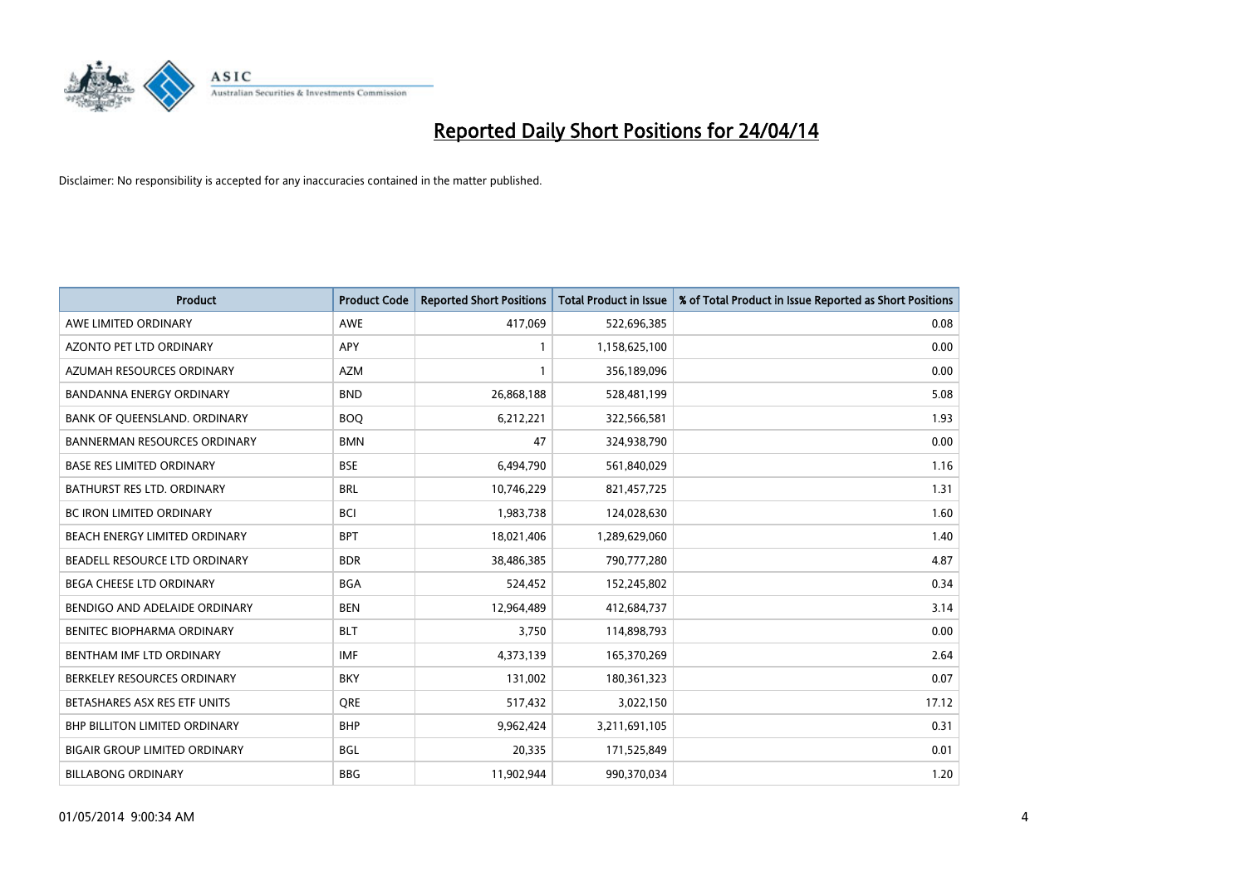

| <b>Product</b>                       | <b>Product Code</b> | <b>Reported Short Positions</b> | <b>Total Product in Issue</b> | % of Total Product in Issue Reported as Short Positions |
|--------------------------------------|---------------------|---------------------------------|-------------------------------|---------------------------------------------------------|
| AWE LIMITED ORDINARY                 | <b>AWE</b>          | 417,069                         | 522,696,385                   | 0.08                                                    |
| AZONTO PET LTD ORDINARY              | <b>APY</b>          | 1                               | 1,158,625,100                 | 0.00                                                    |
| AZUMAH RESOURCES ORDINARY            | <b>AZM</b>          | $\mathbf{1}$                    | 356,189,096                   | 0.00                                                    |
| BANDANNA ENERGY ORDINARY             | <b>BND</b>          | 26,868,188                      | 528,481,199                   | 5.08                                                    |
| BANK OF QUEENSLAND. ORDINARY         | <b>BOQ</b>          | 6,212,221                       | 322,566,581                   | 1.93                                                    |
| <b>BANNERMAN RESOURCES ORDINARY</b>  | <b>BMN</b>          | 47                              | 324,938,790                   | 0.00                                                    |
| <b>BASE RES LIMITED ORDINARY</b>     | <b>BSE</b>          | 6,494,790                       | 561,840,029                   | 1.16                                                    |
| BATHURST RES LTD. ORDINARY           | <b>BRL</b>          | 10,746,229                      | 821,457,725                   | 1.31                                                    |
| BC IRON LIMITED ORDINARY             | <b>BCI</b>          | 1,983,738                       | 124,028,630                   | 1.60                                                    |
| BEACH ENERGY LIMITED ORDINARY        | <b>BPT</b>          | 18,021,406                      | 1,289,629,060                 | 1.40                                                    |
| BEADELL RESOURCE LTD ORDINARY        | <b>BDR</b>          | 38,486,385                      | 790,777,280                   | 4.87                                                    |
| <b>BEGA CHEESE LTD ORDINARY</b>      | <b>BGA</b>          | 524,452                         | 152,245,802                   | 0.34                                                    |
| BENDIGO AND ADELAIDE ORDINARY        | <b>BEN</b>          | 12,964,489                      | 412,684,737                   | 3.14                                                    |
| BENITEC BIOPHARMA ORDINARY           | <b>BLT</b>          | 3,750                           | 114,898,793                   | 0.00                                                    |
| BENTHAM IMF LTD ORDINARY             | <b>IMF</b>          | 4,373,139                       | 165,370,269                   | 2.64                                                    |
| BERKELEY RESOURCES ORDINARY          | <b>BKY</b>          | 131,002                         | 180,361,323                   | 0.07                                                    |
| BETASHARES ASX RES ETF UNITS         | <b>ORE</b>          | 517,432                         | 3,022,150                     | 17.12                                                   |
| <b>BHP BILLITON LIMITED ORDINARY</b> | <b>BHP</b>          | 9,962,424                       | 3,211,691,105                 | 0.31                                                    |
| <b>BIGAIR GROUP LIMITED ORDINARY</b> | <b>BGL</b>          | 20,335                          | 171,525,849                   | 0.01                                                    |
| <b>BILLABONG ORDINARY</b>            | <b>BBG</b>          | 11,902,944                      | 990,370,034                   | 1.20                                                    |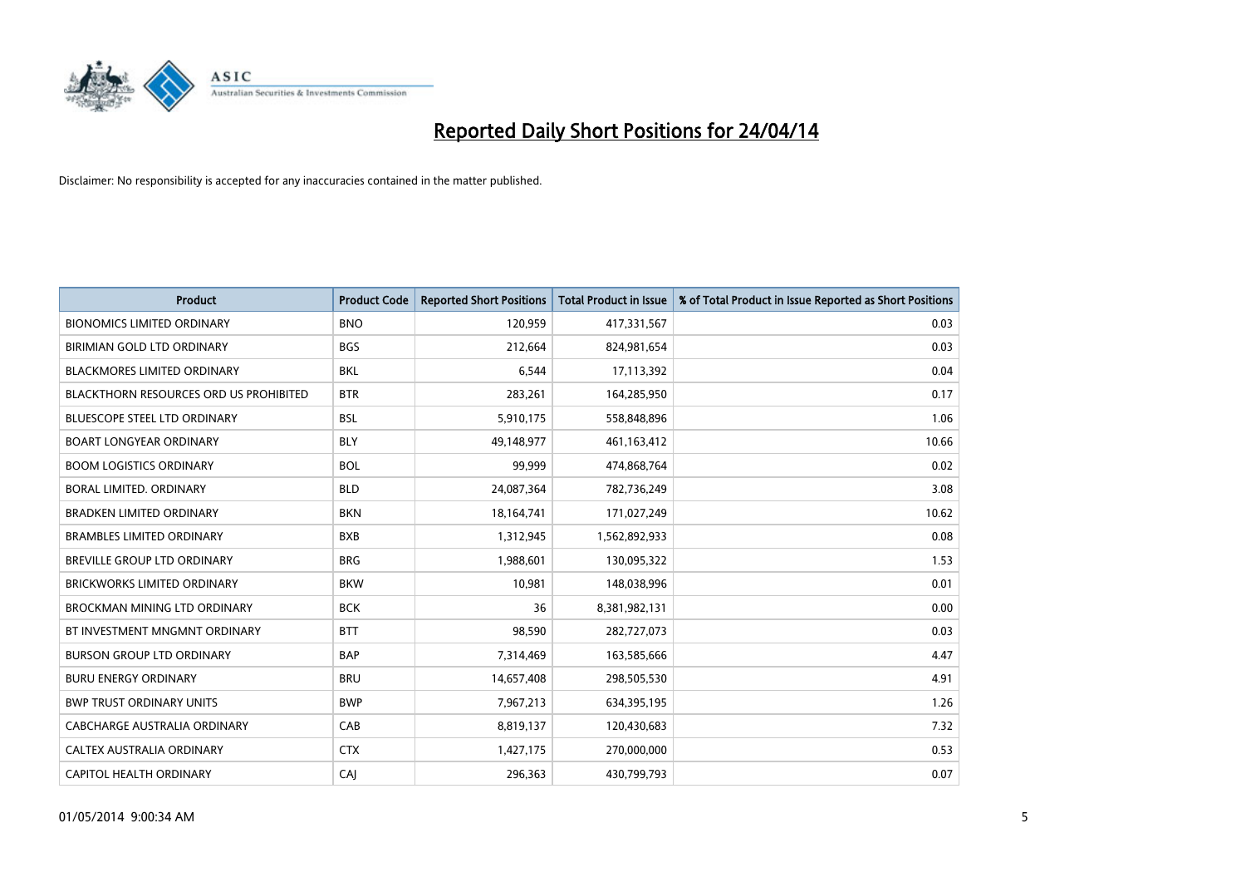

| <b>Product</b>                         | <b>Product Code</b> | <b>Reported Short Positions</b> | <b>Total Product in Issue</b> | % of Total Product in Issue Reported as Short Positions |
|----------------------------------------|---------------------|---------------------------------|-------------------------------|---------------------------------------------------------|
| <b>BIONOMICS LIMITED ORDINARY</b>      | <b>BNO</b>          | 120,959                         | 417,331,567                   | 0.03                                                    |
| BIRIMIAN GOLD LTD ORDINARY             | <b>BGS</b>          | 212,664                         | 824,981,654                   | 0.03                                                    |
| <b>BLACKMORES LIMITED ORDINARY</b>     | <b>BKL</b>          | 6,544                           | 17,113,392                    | 0.04                                                    |
| BLACKTHORN RESOURCES ORD US PROHIBITED | <b>BTR</b>          | 283,261                         | 164,285,950                   | 0.17                                                    |
| <b>BLUESCOPE STEEL LTD ORDINARY</b>    | <b>BSL</b>          | 5,910,175                       | 558,848,896                   | 1.06                                                    |
| <b>BOART LONGYEAR ORDINARY</b>         | <b>BLY</b>          | 49,148,977                      | 461,163,412                   | 10.66                                                   |
| <b>BOOM LOGISTICS ORDINARY</b>         | <b>BOL</b>          | 99,999                          | 474,868,764                   | 0.02                                                    |
| BORAL LIMITED, ORDINARY                | <b>BLD</b>          | 24,087,364                      | 782,736,249                   | 3.08                                                    |
| <b>BRADKEN LIMITED ORDINARY</b>        | <b>BKN</b>          | 18,164,741                      | 171,027,249                   | 10.62                                                   |
| <b>BRAMBLES LIMITED ORDINARY</b>       | <b>BXB</b>          | 1,312,945                       | 1,562,892,933                 | 0.08                                                    |
| BREVILLE GROUP LTD ORDINARY            | <b>BRG</b>          | 1,988,601                       | 130,095,322                   | 1.53                                                    |
| <b>BRICKWORKS LIMITED ORDINARY</b>     | <b>BKW</b>          | 10,981                          | 148,038,996                   | 0.01                                                    |
| <b>BROCKMAN MINING LTD ORDINARY</b>    | <b>BCK</b>          | 36                              | 8,381,982,131                 | 0.00                                                    |
| BT INVESTMENT MNGMNT ORDINARY          | <b>BTT</b>          | 98,590                          | 282,727,073                   | 0.03                                                    |
| <b>BURSON GROUP LTD ORDINARY</b>       | <b>BAP</b>          | 7,314,469                       | 163,585,666                   | 4.47                                                    |
| <b>BURU ENERGY ORDINARY</b>            | <b>BRU</b>          | 14,657,408                      | 298,505,530                   | 4.91                                                    |
| <b>BWP TRUST ORDINARY UNITS</b>        | <b>BWP</b>          | 7,967,213                       | 634,395,195                   | 1.26                                                    |
| <b>CABCHARGE AUSTRALIA ORDINARY</b>    | CAB                 | 8,819,137                       | 120,430,683                   | 7.32                                                    |
| CALTEX AUSTRALIA ORDINARY              | <b>CTX</b>          | 1,427,175                       | 270,000,000                   | 0.53                                                    |
| CAPITOL HEALTH ORDINARY                | CAJ                 | 296,363                         | 430,799,793                   | 0.07                                                    |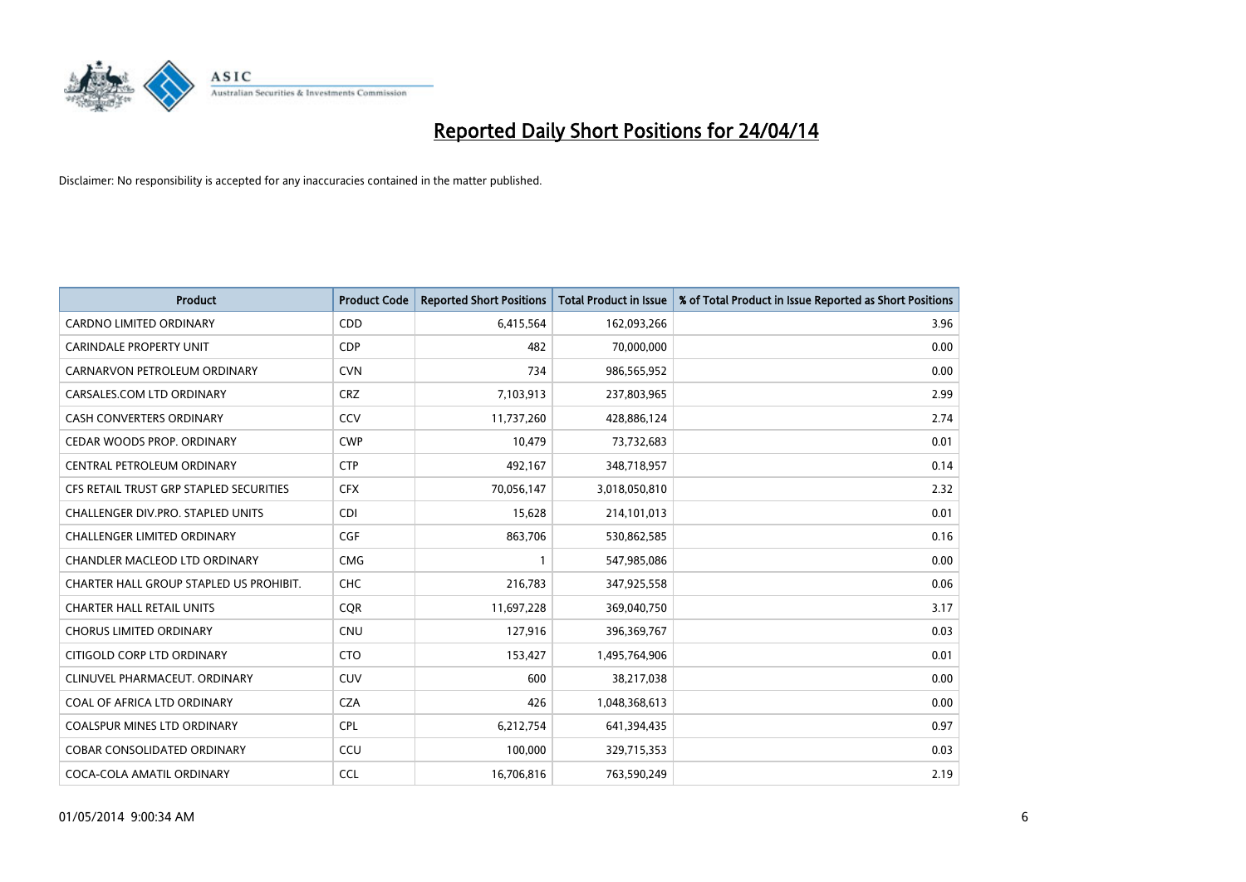

| <b>Product</b>                          | <b>Product Code</b> | <b>Reported Short Positions</b> | <b>Total Product in Issue</b> | % of Total Product in Issue Reported as Short Positions |
|-----------------------------------------|---------------------|---------------------------------|-------------------------------|---------------------------------------------------------|
| <b>CARDNO LIMITED ORDINARY</b>          | CDD                 | 6,415,564                       | 162,093,266                   | 3.96                                                    |
| <b>CARINDALE PROPERTY UNIT</b>          | <b>CDP</b>          | 482                             | 70,000,000                    | 0.00                                                    |
| CARNARVON PETROLEUM ORDINARY            | <b>CVN</b>          | 734                             | 986,565,952                   | 0.00                                                    |
| CARSALES.COM LTD ORDINARY               | <b>CRZ</b>          | 7,103,913                       | 237,803,965                   | 2.99                                                    |
| <b>CASH CONVERTERS ORDINARY</b>         | CCV                 | 11,737,260                      | 428,886,124                   | 2.74                                                    |
| CEDAR WOODS PROP. ORDINARY              | <b>CWP</b>          | 10,479                          | 73,732,683                    | 0.01                                                    |
| CENTRAL PETROLEUM ORDINARY              | <b>CTP</b>          | 492,167                         | 348,718,957                   | 0.14                                                    |
| CFS RETAIL TRUST GRP STAPLED SECURITIES | <b>CFX</b>          | 70,056,147                      | 3,018,050,810                 | 2.32                                                    |
| CHALLENGER DIV.PRO. STAPLED UNITS       | <b>CDI</b>          | 15,628                          | 214,101,013                   | 0.01                                                    |
| <b>CHALLENGER LIMITED ORDINARY</b>      | <b>CGF</b>          | 863,706                         | 530,862,585                   | 0.16                                                    |
| CHANDLER MACLEOD LTD ORDINARY           | <b>CMG</b>          | 1                               | 547,985,086                   | 0.00                                                    |
| CHARTER HALL GROUP STAPLED US PROHIBIT. | <b>CHC</b>          | 216,783                         | 347,925,558                   | 0.06                                                    |
| <b>CHARTER HALL RETAIL UNITS</b>        | <b>COR</b>          | 11,697,228                      | 369,040,750                   | 3.17                                                    |
| <b>CHORUS LIMITED ORDINARY</b>          | <b>CNU</b>          | 127,916                         | 396,369,767                   | 0.03                                                    |
| CITIGOLD CORP LTD ORDINARY              | <b>CTO</b>          | 153,427                         | 1,495,764,906                 | 0.01                                                    |
| CLINUVEL PHARMACEUT. ORDINARY           | <b>CUV</b>          | 600                             | 38,217,038                    | 0.00                                                    |
| COAL OF AFRICA LTD ORDINARY             | <b>CZA</b>          | 426                             | 1,048,368,613                 | 0.00                                                    |
| COALSPUR MINES LTD ORDINARY             | <b>CPL</b>          | 6,212,754                       | 641,394,435                   | 0.97                                                    |
| <b>COBAR CONSOLIDATED ORDINARY</b>      | CCU                 | 100,000                         | 329,715,353                   | 0.03                                                    |
| COCA-COLA AMATIL ORDINARY               | <b>CCL</b>          | 16,706,816                      | 763,590,249                   | 2.19                                                    |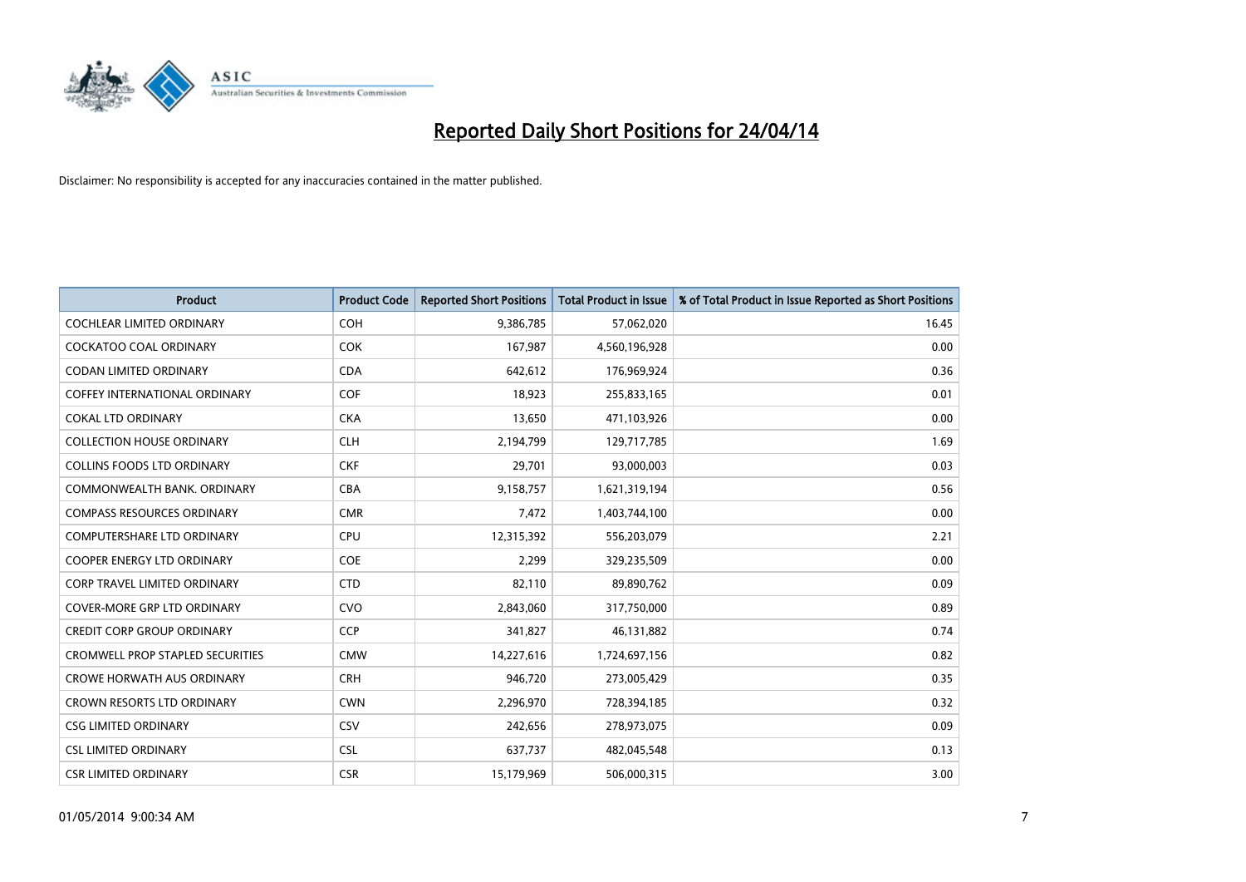

| <b>Product</b>                          | <b>Product Code</b> | <b>Reported Short Positions</b> | <b>Total Product in Issue</b> | % of Total Product in Issue Reported as Short Positions |
|-----------------------------------------|---------------------|---------------------------------|-------------------------------|---------------------------------------------------------|
| <b>COCHLEAR LIMITED ORDINARY</b>        | <b>COH</b>          | 9,386,785                       | 57,062,020                    | 16.45                                                   |
| COCKATOO COAL ORDINARY                  | <b>COK</b>          | 167,987                         | 4,560,196,928                 | 0.00                                                    |
| <b>CODAN LIMITED ORDINARY</b>           | <b>CDA</b>          | 642,612                         | 176,969,924                   | 0.36                                                    |
| <b>COFFEY INTERNATIONAL ORDINARY</b>    | <b>COF</b>          | 18,923                          | 255,833,165                   | 0.01                                                    |
| <b>COKAL LTD ORDINARY</b>               | <b>CKA</b>          | 13,650                          | 471,103,926                   | 0.00                                                    |
| <b>COLLECTION HOUSE ORDINARY</b>        | <b>CLH</b>          | 2,194,799                       | 129,717,785                   | 1.69                                                    |
| <b>COLLINS FOODS LTD ORDINARY</b>       | <b>CKF</b>          | 29,701                          | 93,000,003                    | 0.03                                                    |
| COMMONWEALTH BANK, ORDINARY             | <b>CBA</b>          | 9,158,757                       | 1,621,319,194                 | 0.56                                                    |
| <b>COMPASS RESOURCES ORDINARY</b>       | <b>CMR</b>          | 7,472                           | 1,403,744,100                 | 0.00                                                    |
| <b>COMPUTERSHARE LTD ORDINARY</b>       | <b>CPU</b>          | 12,315,392                      | 556,203,079                   | 2.21                                                    |
| COOPER ENERGY LTD ORDINARY              | <b>COE</b>          | 2,299                           | 329,235,509                   | 0.00                                                    |
| <b>CORP TRAVEL LIMITED ORDINARY</b>     | <b>CTD</b>          | 82,110                          | 89,890,762                    | 0.09                                                    |
| <b>COVER-MORE GRP LTD ORDINARY</b>      | <b>CVO</b>          | 2,843,060                       | 317,750,000                   | 0.89                                                    |
| <b>CREDIT CORP GROUP ORDINARY</b>       | <b>CCP</b>          | 341,827                         | 46,131,882                    | 0.74                                                    |
| <b>CROMWELL PROP STAPLED SECURITIES</b> | <b>CMW</b>          | 14,227,616                      | 1,724,697,156                 | 0.82                                                    |
| <b>CROWE HORWATH AUS ORDINARY</b>       | <b>CRH</b>          | 946,720                         | 273,005,429                   | 0.35                                                    |
| CROWN RESORTS LTD ORDINARY              | <b>CWN</b>          | 2,296,970                       | 728,394,185                   | 0.32                                                    |
| <b>CSG LIMITED ORDINARY</b>             | CSV                 | 242,656                         | 278,973,075                   | 0.09                                                    |
| <b>CSL LIMITED ORDINARY</b>             | <b>CSL</b>          | 637,737                         | 482,045,548                   | 0.13                                                    |
| <b>CSR LIMITED ORDINARY</b>             | <b>CSR</b>          | 15,179,969                      | 506,000,315                   | 3.00                                                    |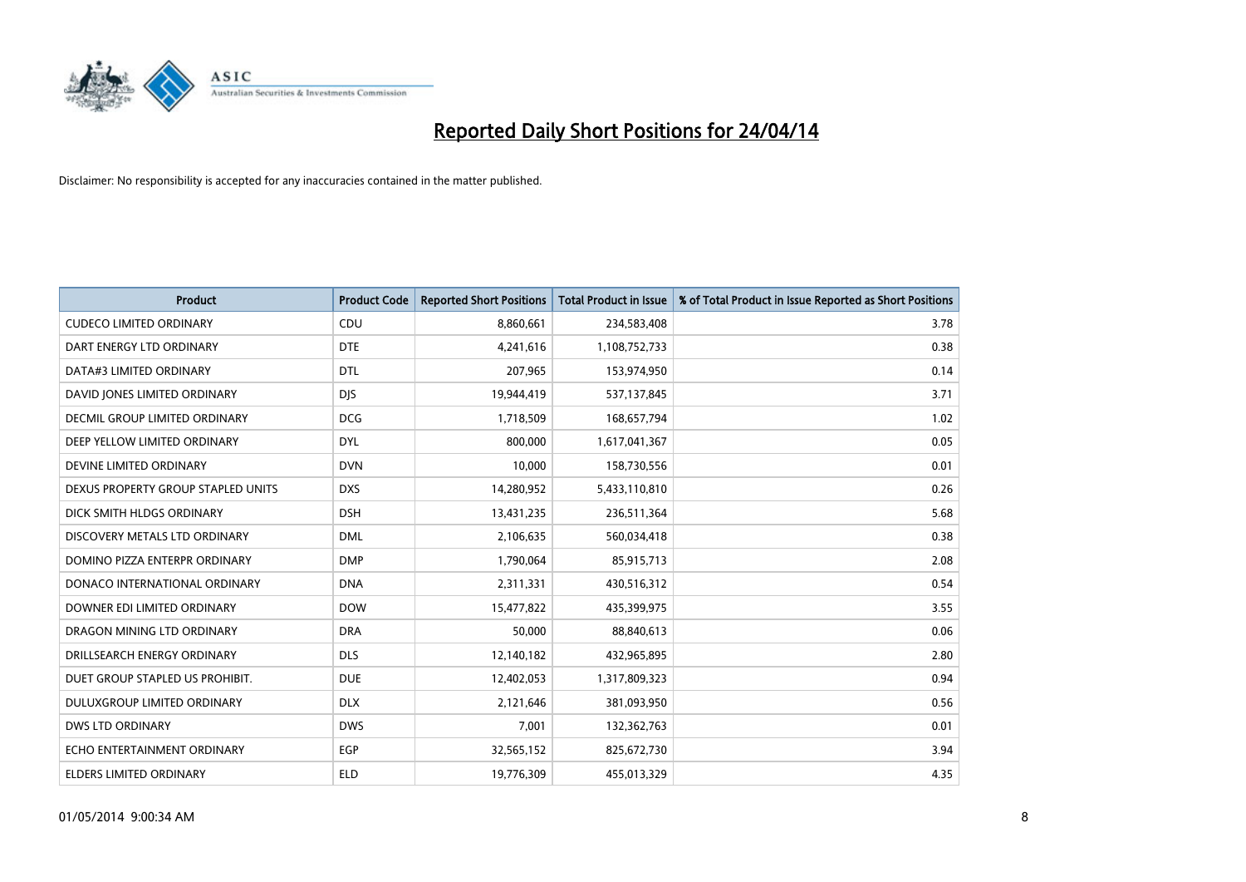

| <b>Product</b>                     | <b>Product Code</b> | <b>Reported Short Positions</b> | <b>Total Product in Issue</b> | % of Total Product in Issue Reported as Short Positions |
|------------------------------------|---------------------|---------------------------------|-------------------------------|---------------------------------------------------------|
| <b>CUDECO LIMITED ORDINARY</b>     | CDU                 | 8,860,661                       | 234,583,408                   | 3.78                                                    |
| DART ENERGY LTD ORDINARY           | <b>DTE</b>          | 4,241,616                       | 1,108,752,733                 | 0.38                                                    |
| DATA#3 LIMITED ORDINARY            | <b>DTL</b>          | 207,965                         | 153,974,950                   | 0.14                                                    |
| DAVID JONES LIMITED ORDINARY       | <b>DIS</b>          | 19,944,419                      | 537,137,845                   | 3.71                                                    |
| DECMIL GROUP LIMITED ORDINARY      | <b>DCG</b>          | 1,718,509                       | 168,657,794                   | 1.02                                                    |
| DEEP YELLOW LIMITED ORDINARY       | <b>DYL</b>          | 800,000                         | 1,617,041,367                 | 0.05                                                    |
| DEVINE LIMITED ORDINARY            | <b>DVN</b>          | 10,000                          | 158,730,556                   | 0.01                                                    |
| DEXUS PROPERTY GROUP STAPLED UNITS | <b>DXS</b>          | 14,280,952                      | 5,433,110,810                 | 0.26                                                    |
| DICK SMITH HLDGS ORDINARY          | <b>DSH</b>          | 13,431,235                      | 236,511,364                   | 5.68                                                    |
| DISCOVERY METALS LTD ORDINARY      | <b>DML</b>          | 2,106,635                       | 560,034,418                   | 0.38                                                    |
| DOMINO PIZZA ENTERPR ORDINARY      | <b>DMP</b>          | 1,790,064                       | 85,915,713                    | 2.08                                                    |
| DONACO INTERNATIONAL ORDINARY      | <b>DNA</b>          | 2,311,331                       | 430,516,312                   | 0.54                                                    |
| DOWNER EDI LIMITED ORDINARY        | <b>DOW</b>          | 15,477,822                      | 435,399,975                   | 3.55                                                    |
| DRAGON MINING LTD ORDINARY         | <b>DRA</b>          | 50,000                          | 88,840,613                    | 0.06                                                    |
| DRILLSEARCH ENERGY ORDINARY        | <b>DLS</b>          | 12,140,182                      | 432,965,895                   | 2.80                                                    |
| DUET GROUP STAPLED US PROHIBIT.    | <b>DUE</b>          | 12,402,053                      | 1,317,809,323                 | 0.94                                                    |
| DULUXGROUP LIMITED ORDINARY        | <b>DLX</b>          | 2,121,646                       | 381,093,950                   | 0.56                                                    |
| <b>DWS LTD ORDINARY</b>            | <b>DWS</b>          | 7,001                           | 132,362,763                   | 0.01                                                    |
| ECHO ENTERTAINMENT ORDINARY        | <b>EGP</b>          | 32,565,152                      | 825,672,730                   | 3.94                                                    |
| ELDERS LIMITED ORDINARY            | ELD                 | 19,776,309                      | 455,013,329                   | 4.35                                                    |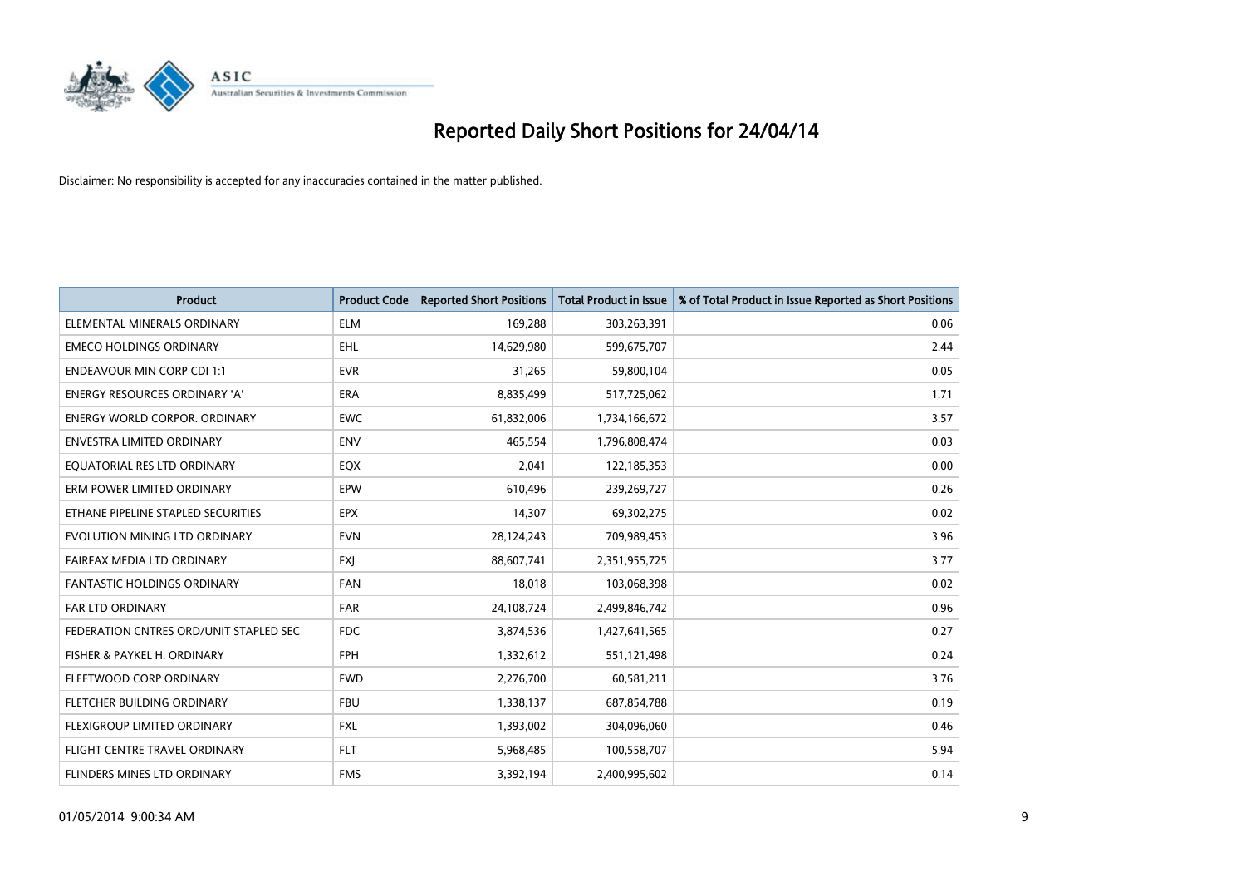

| <b>Product</b>                         | <b>Product Code</b> | <b>Reported Short Positions</b> | <b>Total Product in Issue</b> | % of Total Product in Issue Reported as Short Positions |
|----------------------------------------|---------------------|---------------------------------|-------------------------------|---------------------------------------------------------|
| ELEMENTAL MINERALS ORDINARY            | <b>ELM</b>          | 169,288                         | 303,263,391                   | 0.06                                                    |
| <b>EMECO HOLDINGS ORDINARY</b>         | <b>EHL</b>          | 14,629,980                      | 599,675,707                   | 2.44                                                    |
| <b>ENDEAVOUR MIN CORP CDI 1:1</b>      | <b>EVR</b>          | 31,265                          | 59,800,104                    | 0.05                                                    |
| <b>ENERGY RESOURCES ORDINARY 'A'</b>   | <b>ERA</b>          | 8,835,499                       | 517,725,062                   | 1.71                                                    |
| <b>ENERGY WORLD CORPOR, ORDINARY</b>   | <b>EWC</b>          | 61,832,006                      | 1,734,166,672                 | 3.57                                                    |
| ENVESTRA LIMITED ORDINARY              | <b>ENV</b>          | 465,554                         | 1,796,808,474                 | 0.03                                                    |
| EQUATORIAL RES LTD ORDINARY            | EQX                 | 2,041                           | 122,185,353                   | 0.00                                                    |
| ERM POWER LIMITED ORDINARY             | EPW                 | 610,496                         | 239,269,727                   | 0.26                                                    |
| ETHANE PIPELINE STAPLED SECURITIES     | <b>EPX</b>          | 14,307                          | 69,302,275                    | 0.02                                                    |
| EVOLUTION MINING LTD ORDINARY          | <b>EVN</b>          | 28,124,243                      | 709,989,453                   | 3.96                                                    |
| FAIRFAX MEDIA LTD ORDINARY             | <b>FXJ</b>          | 88,607,741                      | 2,351,955,725                 | 3.77                                                    |
| <b>FANTASTIC HOLDINGS ORDINARY</b>     | <b>FAN</b>          | 18,018                          | 103,068,398                   | 0.02                                                    |
| <b>FAR LTD ORDINARY</b>                | <b>FAR</b>          | 24,108,724                      | 2,499,846,742                 | 0.96                                                    |
| FEDERATION CNTRES ORD/UNIT STAPLED SEC | <b>FDC</b>          | 3,874,536                       | 1,427,641,565                 | 0.27                                                    |
| FISHER & PAYKEL H. ORDINARY            | <b>FPH</b>          | 1,332,612                       | 551,121,498                   | 0.24                                                    |
| FLEETWOOD CORP ORDINARY                | <b>FWD</b>          | 2,276,700                       | 60,581,211                    | 3.76                                                    |
| FLETCHER BUILDING ORDINARY             | <b>FBU</b>          | 1,338,137                       | 687,854,788                   | 0.19                                                    |
| FLEXIGROUP LIMITED ORDINARY            | <b>FXL</b>          | 1,393,002                       | 304,096,060                   | 0.46                                                    |
| FLIGHT CENTRE TRAVEL ORDINARY          | <b>FLT</b>          | 5,968,485                       | 100,558,707                   | 5.94                                                    |
| FLINDERS MINES LTD ORDINARY            | <b>FMS</b>          | 3,392,194                       | 2,400,995,602                 | 0.14                                                    |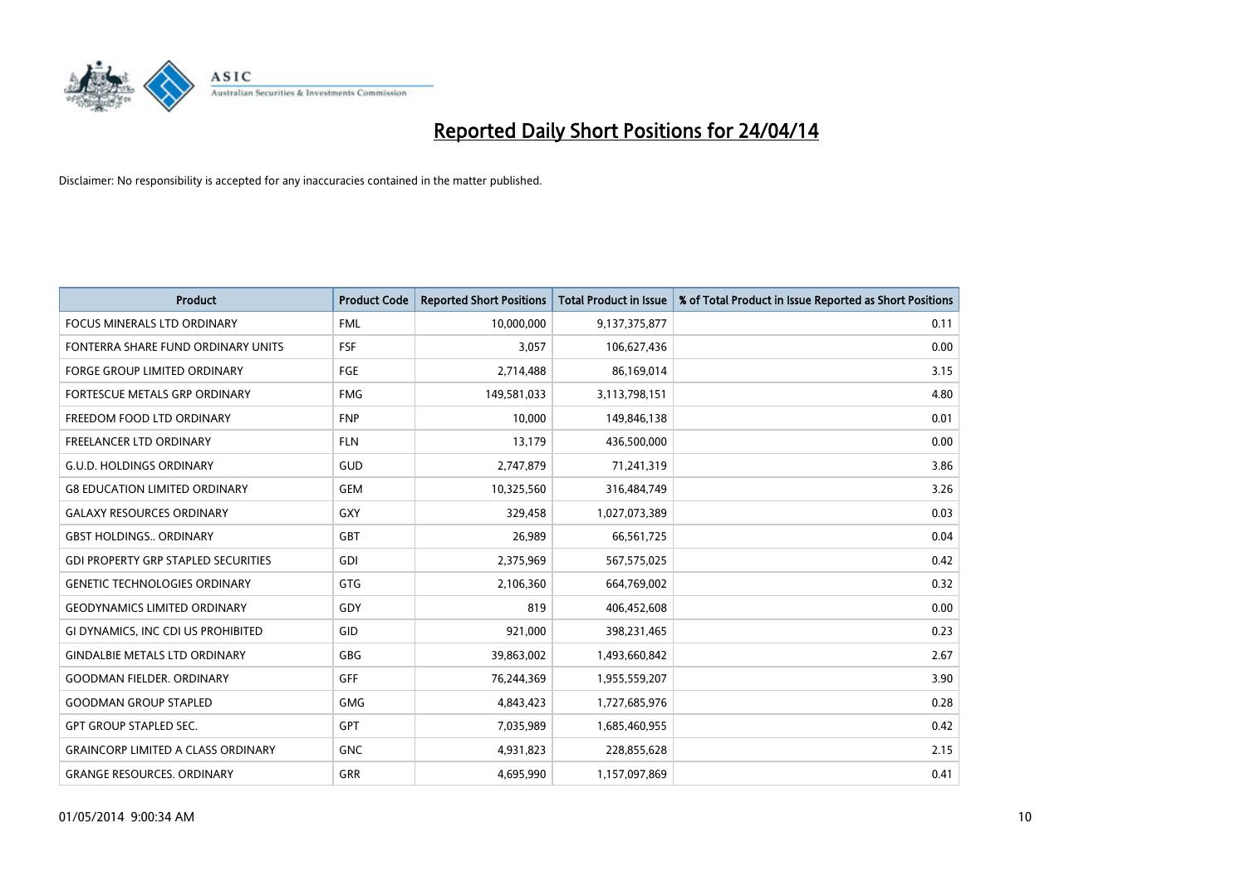

| <b>Product</b>                             | <b>Product Code</b> | <b>Reported Short Positions</b> | <b>Total Product in Issue</b> | % of Total Product in Issue Reported as Short Positions |
|--------------------------------------------|---------------------|---------------------------------|-------------------------------|---------------------------------------------------------|
| <b>FOCUS MINERALS LTD ORDINARY</b>         | <b>FML</b>          | 10,000,000                      | 9,137,375,877                 | 0.11                                                    |
| FONTERRA SHARE FUND ORDINARY UNITS         | <b>FSF</b>          | 3,057                           | 106,627,436                   | 0.00                                                    |
| <b>FORGE GROUP LIMITED ORDINARY</b>        | FGE                 | 2,714,488                       | 86,169,014                    | 3.15                                                    |
| <b>FORTESCUE METALS GRP ORDINARY</b>       | <b>FMG</b>          | 149,581,033                     | 3,113,798,151                 | 4.80                                                    |
| FREEDOM FOOD LTD ORDINARY                  | <b>FNP</b>          | 10,000                          | 149,846,138                   | 0.01                                                    |
| <b>FREELANCER LTD ORDINARY</b>             | <b>FLN</b>          | 13,179                          | 436,500,000                   | 0.00                                                    |
| <b>G.U.D. HOLDINGS ORDINARY</b>            | GUD                 | 2,747,879                       | 71,241,319                    | 3.86                                                    |
| <b>G8 EDUCATION LIMITED ORDINARY</b>       | <b>GEM</b>          | 10,325,560                      | 316,484,749                   | 3.26                                                    |
| <b>GALAXY RESOURCES ORDINARY</b>           | GXY                 | 329,458                         | 1,027,073,389                 | 0.03                                                    |
| <b>GBST HOLDINGS., ORDINARY</b>            | GBT                 | 26,989                          | 66,561,725                    | 0.04                                                    |
| <b>GDI PROPERTY GRP STAPLED SECURITIES</b> | GDI                 | 2,375,969                       | 567,575,025                   | 0.42                                                    |
| <b>GENETIC TECHNOLOGIES ORDINARY</b>       | GTG                 | 2,106,360                       | 664,769,002                   | 0.32                                                    |
| <b>GEODYNAMICS LIMITED ORDINARY</b>        | GDY                 | 819                             | 406,452,608                   | 0.00                                                    |
| GI DYNAMICS, INC CDI US PROHIBITED         | GID                 | 921,000                         | 398,231,465                   | 0.23                                                    |
| <b>GINDALBIE METALS LTD ORDINARY</b>       | GBG                 | 39,863,002                      | 1,493,660,842                 | 2.67                                                    |
| <b>GOODMAN FIELDER, ORDINARY</b>           | <b>GFF</b>          | 76,244,369                      | 1,955,559,207                 | 3.90                                                    |
| <b>GOODMAN GROUP STAPLED</b>               | <b>GMG</b>          | 4,843,423                       | 1,727,685,976                 | 0.28                                                    |
| <b>GPT GROUP STAPLED SEC.</b>              | <b>GPT</b>          | 7,035,989                       | 1,685,460,955                 | 0.42                                                    |
| <b>GRAINCORP LIMITED A CLASS ORDINARY</b>  | <b>GNC</b>          | 4,931,823                       | 228,855,628                   | 2.15                                                    |
| <b>GRANGE RESOURCES. ORDINARY</b>          | GRR                 | 4,695,990                       | 1,157,097,869                 | 0.41                                                    |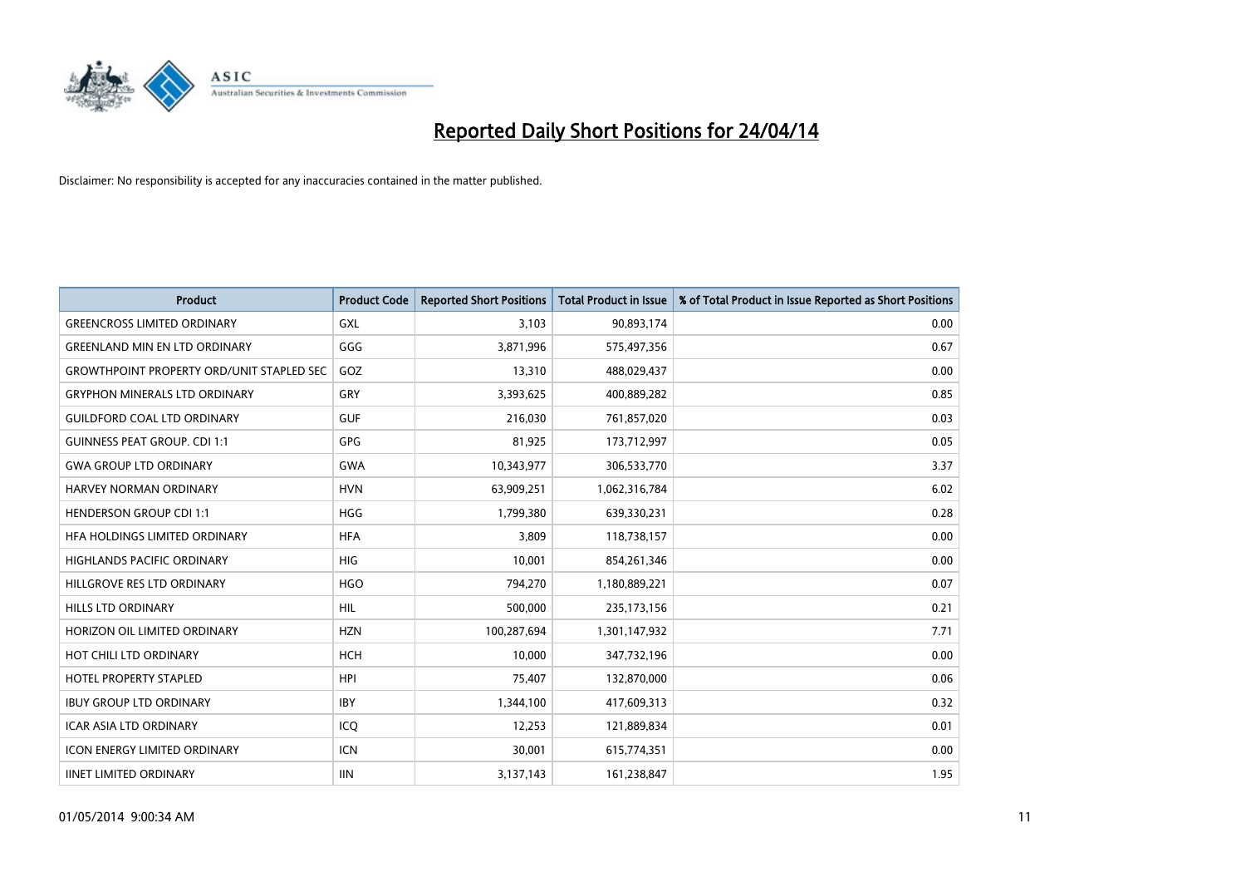

| <b>Product</b>                                   | <b>Product Code</b> | <b>Reported Short Positions</b> | <b>Total Product in Issue</b> | % of Total Product in Issue Reported as Short Positions |
|--------------------------------------------------|---------------------|---------------------------------|-------------------------------|---------------------------------------------------------|
| <b>GREENCROSS LIMITED ORDINARY</b>               | <b>GXL</b>          | 3,103                           | 90,893,174                    | 0.00                                                    |
| <b>GREENLAND MIN EN LTD ORDINARY</b>             | GGG                 | 3,871,996                       | 575,497,356                   | 0.67                                                    |
| <b>GROWTHPOINT PROPERTY ORD/UNIT STAPLED SEC</b> | GOZ                 | 13,310                          | 488,029,437                   | 0.00                                                    |
| <b>GRYPHON MINERALS LTD ORDINARY</b>             | GRY                 | 3,393,625                       | 400,889,282                   | 0.85                                                    |
| <b>GUILDFORD COAL LTD ORDINARY</b>               | <b>GUF</b>          | 216,030                         | 761,857,020                   | 0.03                                                    |
| <b>GUINNESS PEAT GROUP. CDI 1:1</b>              | <b>GPG</b>          | 81,925                          | 173,712,997                   | 0.05                                                    |
| <b>GWA GROUP LTD ORDINARY</b>                    | <b>GWA</b>          | 10,343,977                      | 306,533,770                   | 3.37                                                    |
| HARVEY NORMAN ORDINARY                           | <b>HVN</b>          | 63,909,251                      | 1,062,316,784                 | 6.02                                                    |
| <b>HENDERSON GROUP CDI 1:1</b>                   | <b>HGG</b>          | 1,799,380                       | 639,330,231                   | 0.28                                                    |
| HFA HOLDINGS LIMITED ORDINARY                    | <b>HFA</b>          | 3,809                           | 118,738,157                   | 0.00                                                    |
| <b>HIGHLANDS PACIFIC ORDINARY</b>                | <b>HIG</b>          | 10,001                          | 854,261,346                   | 0.00                                                    |
| HILLGROVE RES LTD ORDINARY                       | <b>HGO</b>          | 794,270                         | 1,180,889,221                 | 0.07                                                    |
| <b>HILLS LTD ORDINARY</b>                        | <b>HIL</b>          | 500,000                         | 235, 173, 156                 | 0.21                                                    |
| HORIZON OIL LIMITED ORDINARY                     | <b>HZN</b>          | 100,287,694                     | 1,301,147,932                 | 7.71                                                    |
| HOT CHILI LTD ORDINARY                           | <b>HCH</b>          | 10,000                          | 347,732,196                   | 0.00                                                    |
| <b>HOTEL PROPERTY STAPLED</b>                    | <b>HPI</b>          | 75,407                          | 132,870,000                   | 0.06                                                    |
| <b>IBUY GROUP LTD ORDINARY</b>                   | <b>IBY</b>          | 1,344,100                       | 417,609,313                   | 0.32                                                    |
| <b>ICAR ASIA LTD ORDINARY</b>                    | ICQ                 | 12,253                          | 121,889,834                   | 0.01                                                    |
| <b>ICON ENERGY LIMITED ORDINARY</b>              | <b>ICN</b>          | 30,001                          | 615,774,351                   | 0.00                                                    |
| <b>IINET LIMITED ORDINARY</b>                    | <b>IIN</b>          | 3,137,143                       | 161,238,847                   | 1.95                                                    |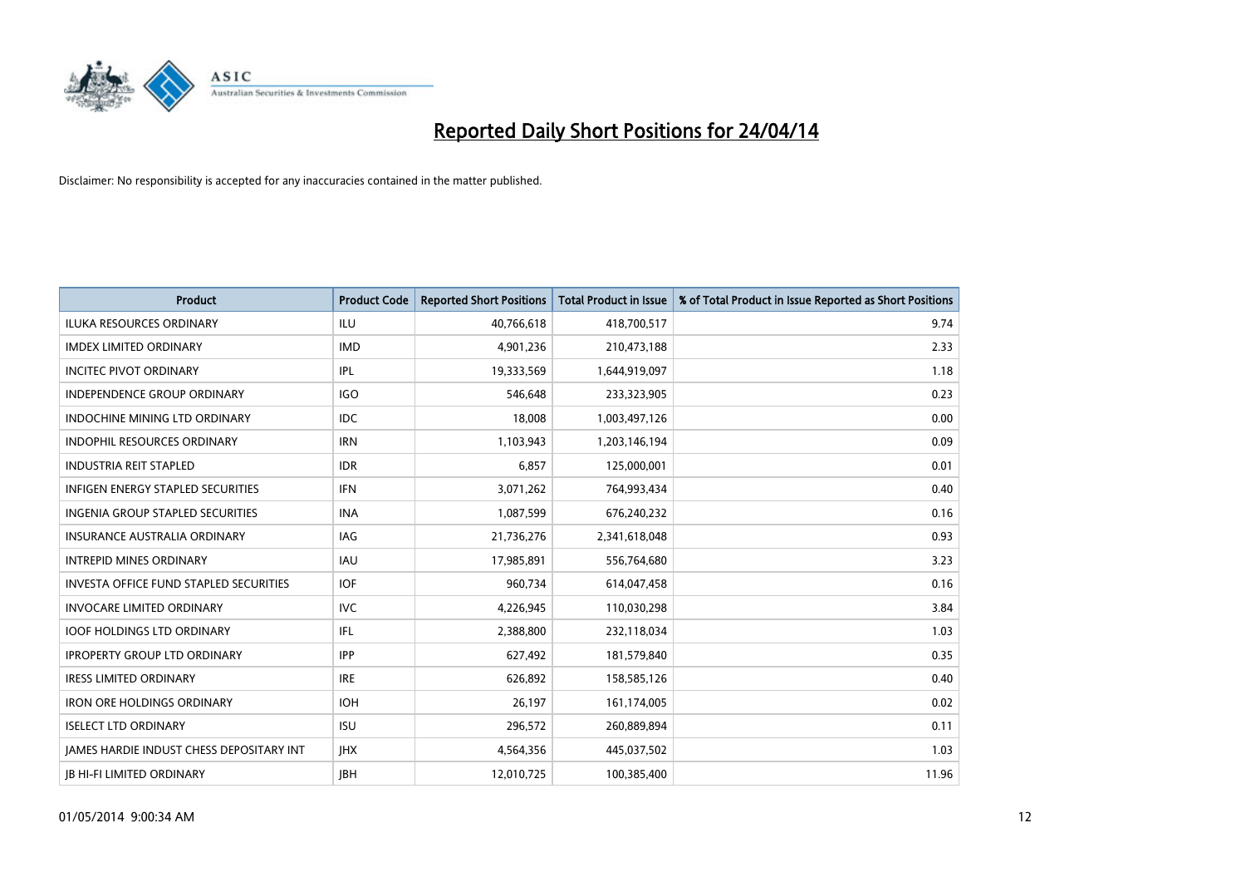

| <b>Product</b>                                  | <b>Product Code</b> | <b>Reported Short Positions</b> | <b>Total Product in Issue</b> | % of Total Product in Issue Reported as Short Positions |
|-------------------------------------------------|---------------------|---------------------------------|-------------------------------|---------------------------------------------------------|
| <b>ILUKA RESOURCES ORDINARY</b>                 | ILU                 | 40,766,618                      | 418,700,517                   | 9.74                                                    |
| <b>IMDEX LIMITED ORDINARY</b>                   | <b>IMD</b>          | 4,901,236                       | 210,473,188                   | 2.33                                                    |
| <b>INCITEC PIVOT ORDINARY</b>                   | IPL                 | 19,333,569                      | 1,644,919,097                 | 1.18                                                    |
| INDEPENDENCE GROUP ORDINARY                     | <b>IGO</b>          | 546,648                         | 233,323,905                   | 0.23                                                    |
| <b>INDOCHINE MINING LTD ORDINARY</b>            | <b>IDC</b>          | 18,008                          | 1,003,497,126                 | 0.00                                                    |
| <b>INDOPHIL RESOURCES ORDINARY</b>              | <b>IRN</b>          | 1,103,943                       | 1,203,146,194                 | 0.09                                                    |
| <b>INDUSTRIA REIT STAPLED</b>                   | <b>IDR</b>          | 6,857                           | 125,000,001                   | 0.01                                                    |
| <b>INFIGEN ENERGY STAPLED SECURITIES</b>        | <b>IFN</b>          | 3,071,262                       | 764,993,434                   | 0.40                                                    |
| INGENIA GROUP STAPLED SECURITIES                | <b>INA</b>          | 1,087,599                       | 676,240,232                   | 0.16                                                    |
| INSURANCE AUSTRALIA ORDINARY                    | IAG                 | 21,736,276                      | 2,341,618,048                 | 0.93                                                    |
| <b>INTREPID MINES ORDINARY</b>                  | <b>IAU</b>          | 17,985,891                      | 556,764,680                   | 3.23                                                    |
| <b>INVESTA OFFICE FUND STAPLED SECURITIES</b>   | <b>IOF</b>          | 960,734                         | 614,047,458                   | 0.16                                                    |
| <b>INVOCARE LIMITED ORDINARY</b>                | <b>IVC</b>          | 4,226,945                       | 110,030,298                   | 3.84                                                    |
| <b>IOOF HOLDINGS LTD ORDINARY</b>               | IFL                 | 2,388,800                       | 232,118,034                   | 1.03                                                    |
| <b>IPROPERTY GROUP LTD ORDINARY</b>             | <b>IPP</b>          | 627,492                         | 181,579,840                   | 0.35                                                    |
| <b>IRESS LIMITED ORDINARY</b>                   | <b>IRE</b>          | 626,892                         | 158,585,126                   | 0.40                                                    |
| <b>IRON ORE HOLDINGS ORDINARY</b>               | <b>IOH</b>          | 26,197                          | 161,174,005                   | 0.02                                                    |
| <b>ISELECT LTD ORDINARY</b>                     | <b>ISU</b>          | 296,572                         | 260,889,894                   | 0.11                                                    |
| <b>IAMES HARDIE INDUST CHESS DEPOSITARY INT</b> | <b>IHX</b>          | 4,564,356                       | 445,037,502                   | 1.03                                                    |
| <b>IB HI-FI LIMITED ORDINARY</b>                | <b>IBH</b>          | 12.010.725                      | 100,385,400                   | 11.96                                                   |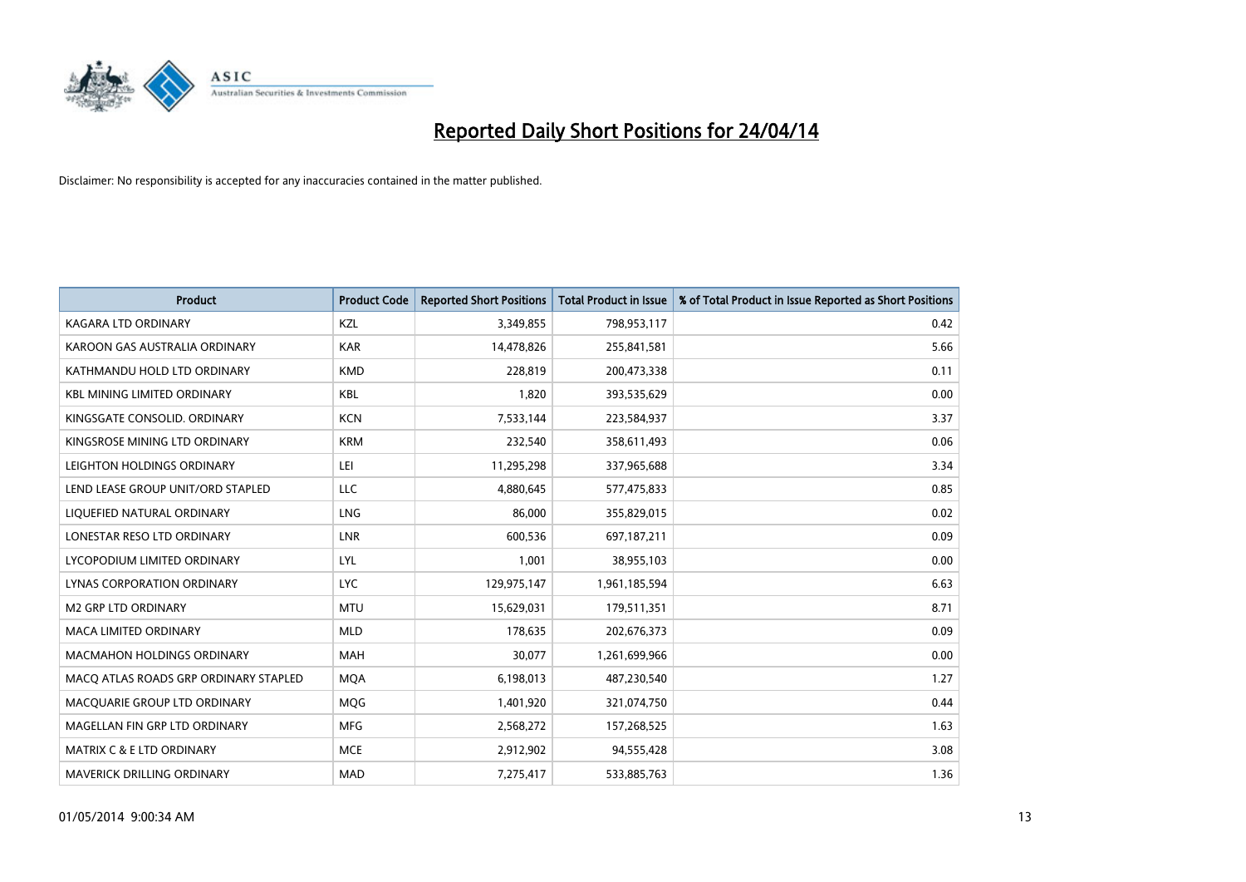

| <b>Product</b>                        | <b>Product Code</b> | <b>Reported Short Positions</b> | <b>Total Product in Issue</b> | % of Total Product in Issue Reported as Short Positions |
|---------------------------------------|---------------------|---------------------------------|-------------------------------|---------------------------------------------------------|
| <b>KAGARA LTD ORDINARY</b>            | KZL                 | 3,349,855                       | 798,953,117                   | 0.42                                                    |
| KAROON GAS AUSTRALIA ORDINARY         | <b>KAR</b>          | 14,478,826                      | 255,841,581                   | 5.66                                                    |
| KATHMANDU HOLD LTD ORDINARY           | <b>KMD</b>          | 228,819                         | 200,473,338                   | 0.11                                                    |
| <b>KBL MINING LIMITED ORDINARY</b>    | <b>KBL</b>          | 1,820                           | 393,535,629                   | 0.00                                                    |
| KINGSGATE CONSOLID. ORDINARY          | <b>KCN</b>          | 7,533,144                       | 223,584,937                   | 3.37                                                    |
| KINGSROSE MINING LTD ORDINARY         | <b>KRM</b>          | 232,540                         | 358,611,493                   | 0.06                                                    |
| LEIGHTON HOLDINGS ORDINARY            | LEI                 | 11,295,298                      | 337,965,688                   | 3.34                                                    |
| LEND LEASE GROUP UNIT/ORD STAPLED     | LLC                 | 4,880,645                       | 577,475,833                   | 0.85                                                    |
| LIQUEFIED NATURAL ORDINARY            | <b>LNG</b>          | 86,000                          | 355,829,015                   | 0.02                                                    |
| LONESTAR RESO LTD ORDINARY            | <b>LNR</b>          | 600,536                         | 697,187,211                   | 0.09                                                    |
| LYCOPODIUM LIMITED ORDINARY           | <b>LYL</b>          | 1,001                           | 38,955,103                    | 0.00                                                    |
| LYNAS CORPORATION ORDINARY            | <b>LYC</b>          | 129,975,147                     | 1,961,185,594                 | 6.63                                                    |
| <b>M2 GRP LTD ORDINARY</b>            | <b>MTU</b>          | 15,629,031                      | 179,511,351                   | 8.71                                                    |
| <b>MACA LIMITED ORDINARY</b>          | <b>MLD</b>          | 178,635                         | 202,676,373                   | 0.09                                                    |
| MACMAHON HOLDINGS ORDINARY            | <b>MAH</b>          | 30,077                          | 1,261,699,966                 | 0.00                                                    |
| MACO ATLAS ROADS GRP ORDINARY STAPLED | <b>MOA</b>          | 6,198,013                       | 487,230,540                   | 1.27                                                    |
| MACQUARIE GROUP LTD ORDINARY          | MQG                 | 1,401,920                       | 321,074,750                   | 0.44                                                    |
| MAGELLAN FIN GRP LTD ORDINARY         | <b>MFG</b>          | 2,568,272                       | 157,268,525                   | 1.63                                                    |
| MATRIX C & E LTD ORDINARY             | <b>MCE</b>          | 2,912,902                       | 94,555,428                    | 3.08                                                    |
| <b>MAVERICK DRILLING ORDINARY</b>     | <b>MAD</b>          | 7,275,417                       | 533,885,763                   | 1.36                                                    |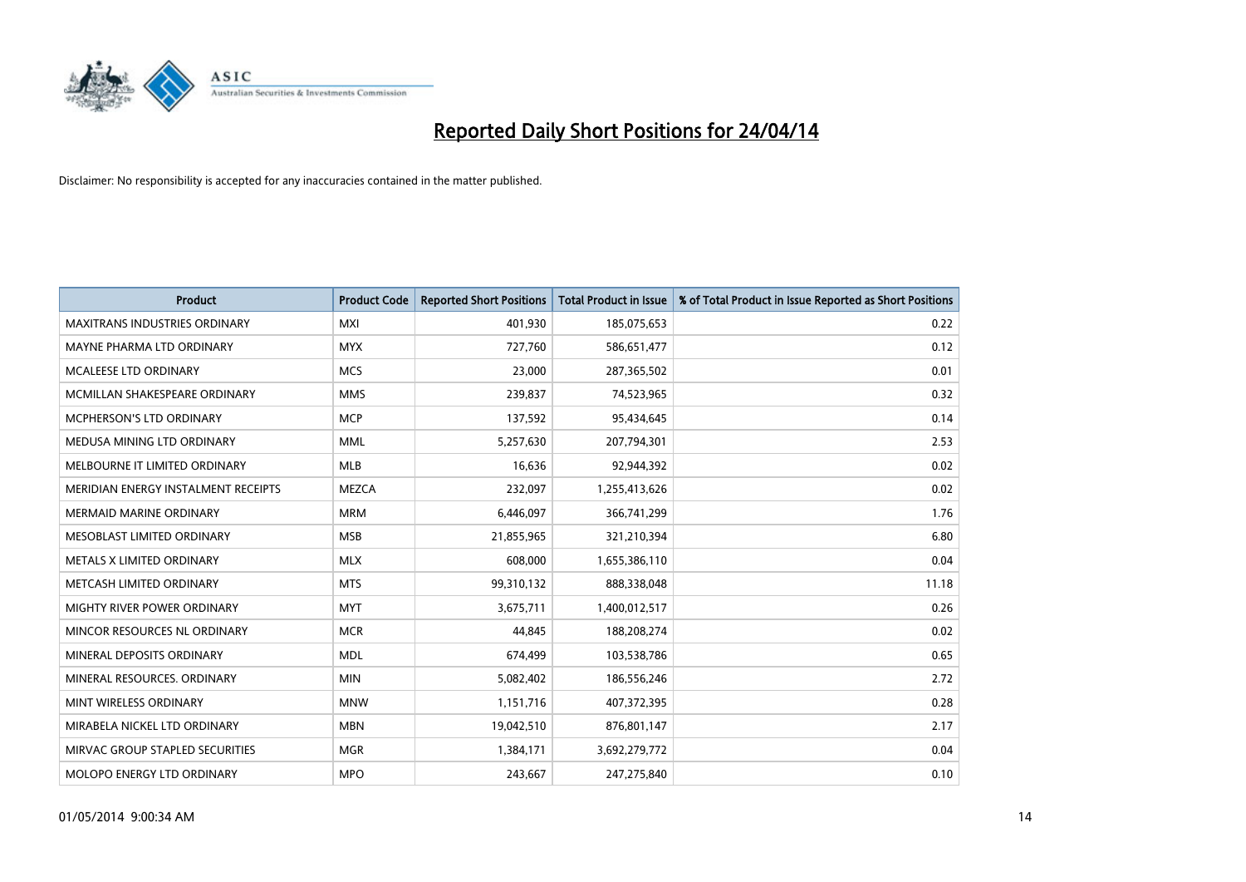

| <b>Product</b>                       | <b>Product Code</b> | <b>Reported Short Positions</b> | <b>Total Product in Issue</b> | % of Total Product in Issue Reported as Short Positions |
|--------------------------------------|---------------------|---------------------------------|-------------------------------|---------------------------------------------------------|
| <b>MAXITRANS INDUSTRIES ORDINARY</b> | <b>MXI</b>          | 401,930                         | 185,075,653                   | 0.22                                                    |
| MAYNE PHARMA LTD ORDINARY            | <b>MYX</b>          | 727,760                         | 586,651,477                   | 0.12                                                    |
| <b>MCALEESE LTD ORDINARY</b>         | <b>MCS</b>          | 23,000                          | 287,365,502                   | 0.01                                                    |
| MCMILLAN SHAKESPEARE ORDINARY        | <b>MMS</b>          | 239,837                         | 74,523,965                    | 0.32                                                    |
| MCPHERSON'S LTD ORDINARY             | <b>MCP</b>          | 137,592                         | 95,434,645                    | 0.14                                                    |
| MEDUSA MINING LTD ORDINARY           | <b>MML</b>          | 5,257,630                       | 207,794,301                   | 2.53                                                    |
| MELBOURNE IT LIMITED ORDINARY        | <b>MLB</b>          | 16,636                          | 92,944,392                    | 0.02                                                    |
| MERIDIAN ENERGY INSTALMENT RECEIPTS  | <b>MEZCA</b>        | 232,097                         | 1,255,413,626                 | 0.02                                                    |
| <b>MERMAID MARINE ORDINARY</b>       | <b>MRM</b>          | 6,446,097                       | 366,741,299                   | 1.76                                                    |
| MESOBLAST LIMITED ORDINARY           | <b>MSB</b>          | 21,855,965                      | 321,210,394                   | 6.80                                                    |
| METALS X LIMITED ORDINARY            | <b>MLX</b>          | 608,000                         | 1,655,386,110                 | 0.04                                                    |
| METCASH LIMITED ORDINARY             | <b>MTS</b>          | 99,310,132                      | 888,338,048                   | 11.18                                                   |
| MIGHTY RIVER POWER ORDINARY          | <b>MYT</b>          | 3,675,711                       | 1,400,012,517                 | 0.26                                                    |
| MINCOR RESOURCES NL ORDINARY         | <b>MCR</b>          | 44,845                          | 188,208,274                   | 0.02                                                    |
| MINERAL DEPOSITS ORDINARY            | <b>MDL</b>          | 674,499                         | 103,538,786                   | 0.65                                                    |
| MINERAL RESOURCES, ORDINARY          | <b>MIN</b>          | 5,082,402                       | 186,556,246                   | 2.72                                                    |
| MINT WIRELESS ORDINARY               | <b>MNW</b>          | 1,151,716                       | 407,372,395                   | 0.28                                                    |
| MIRABELA NICKEL LTD ORDINARY         | <b>MBN</b>          | 19,042,510                      | 876,801,147                   | 2.17                                                    |
| MIRVAC GROUP STAPLED SECURITIES      | <b>MGR</b>          | 1,384,171                       | 3,692,279,772                 | 0.04                                                    |
| MOLOPO ENERGY LTD ORDINARY           | <b>MPO</b>          | 243,667                         | 247,275,840                   | 0.10                                                    |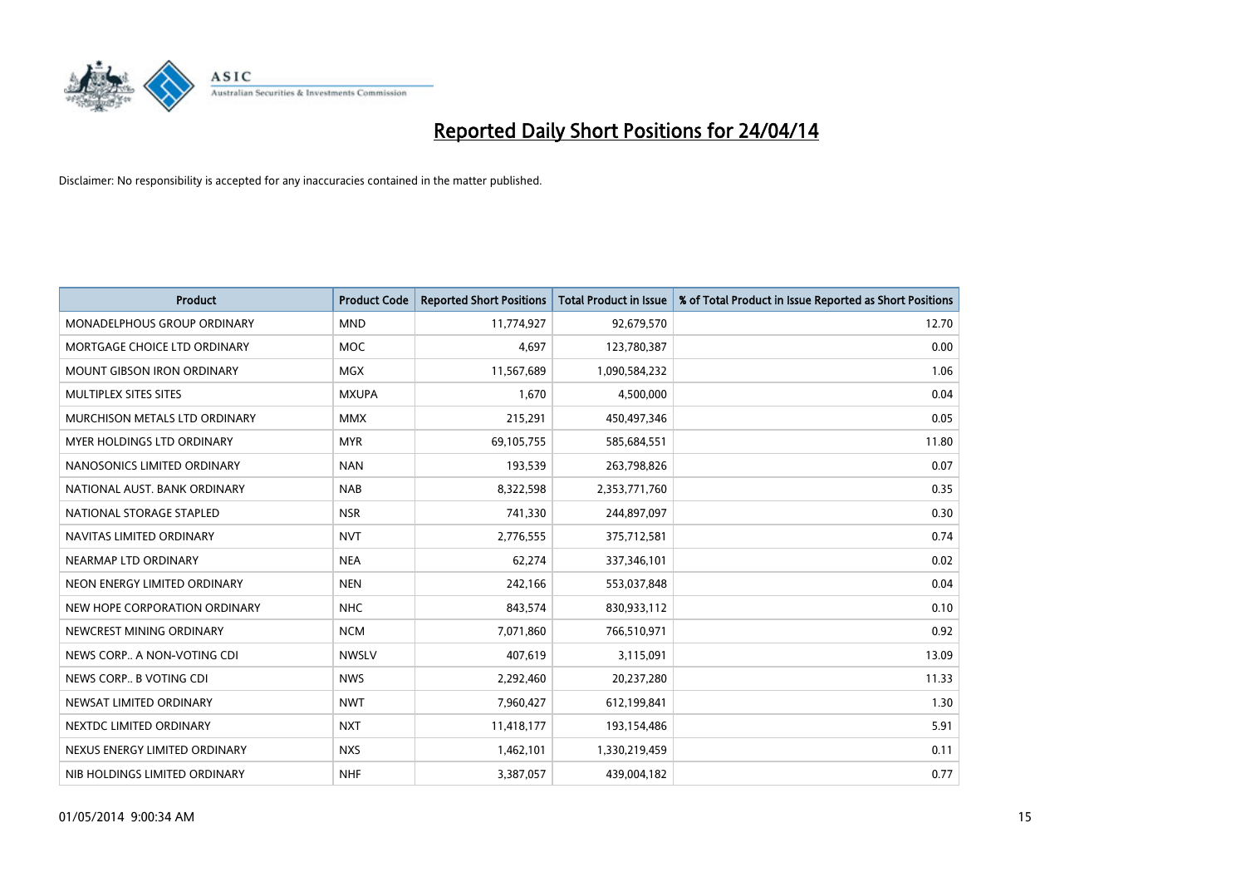

| <b>Product</b>                     | <b>Product Code</b> | <b>Reported Short Positions</b> | <b>Total Product in Issue</b> | % of Total Product in Issue Reported as Short Positions |
|------------------------------------|---------------------|---------------------------------|-------------------------------|---------------------------------------------------------|
| <b>MONADELPHOUS GROUP ORDINARY</b> | <b>MND</b>          | 11,774,927                      | 92,679,570                    | 12.70                                                   |
| MORTGAGE CHOICE LTD ORDINARY       | MOC                 | 4,697                           | 123,780,387                   | 0.00                                                    |
| <b>MOUNT GIBSON IRON ORDINARY</b>  | <b>MGX</b>          | 11,567,689                      | 1,090,584,232                 | 1.06                                                    |
| MULTIPLEX SITES SITES              | <b>MXUPA</b>        | 1,670                           | 4,500,000                     | 0.04                                                    |
| MURCHISON METALS LTD ORDINARY      | <b>MMX</b>          | 215,291                         | 450,497,346                   | 0.05                                                    |
| MYER HOLDINGS LTD ORDINARY         | <b>MYR</b>          | 69,105,755                      | 585,684,551                   | 11.80                                                   |
| NANOSONICS LIMITED ORDINARY        | <b>NAN</b>          | 193,539                         | 263,798,826                   | 0.07                                                    |
| NATIONAL AUST, BANK ORDINARY       | <b>NAB</b>          | 8,322,598                       | 2,353,771,760                 | 0.35                                                    |
| NATIONAL STORAGE STAPLED           | <b>NSR</b>          | 741,330                         | 244,897,097                   | 0.30                                                    |
| NAVITAS LIMITED ORDINARY           | <b>NVT</b>          | 2,776,555                       | 375,712,581                   | 0.74                                                    |
| NEARMAP LTD ORDINARY               | <b>NEA</b>          | 62,274                          | 337,346,101                   | 0.02                                                    |
| NEON ENERGY LIMITED ORDINARY       | <b>NEN</b>          | 242,166                         | 553,037,848                   | 0.04                                                    |
| NEW HOPE CORPORATION ORDINARY      | <b>NHC</b>          | 843,574                         | 830,933,112                   | 0.10                                                    |
| NEWCREST MINING ORDINARY           | <b>NCM</b>          | 7,071,860                       | 766,510,971                   | 0.92                                                    |
| NEWS CORP A NON-VOTING CDI         | <b>NWSLV</b>        | 407,619                         | 3,115,091                     | 13.09                                                   |
| NEWS CORP B VOTING CDI             | <b>NWS</b>          | 2,292,460                       | 20,237,280                    | 11.33                                                   |
| NEWSAT LIMITED ORDINARY            | <b>NWT</b>          | 7,960,427                       | 612,199,841                   | 1.30                                                    |
| NEXTDC LIMITED ORDINARY            | <b>NXT</b>          | 11,418,177                      | 193,154,486                   | 5.91                                                    |
| NEXUS ENERGY LIMITED ORDINARY      | <b>NXS</b>          | 1,462,101                       | 1,330,219,459                 | 0.11                                                    |
| NIB HOLDINGS LIMITED ORDINARY      | <b>NHF</b>          | 3,387,057                       | 439,004,182                   | 0.77                                                    |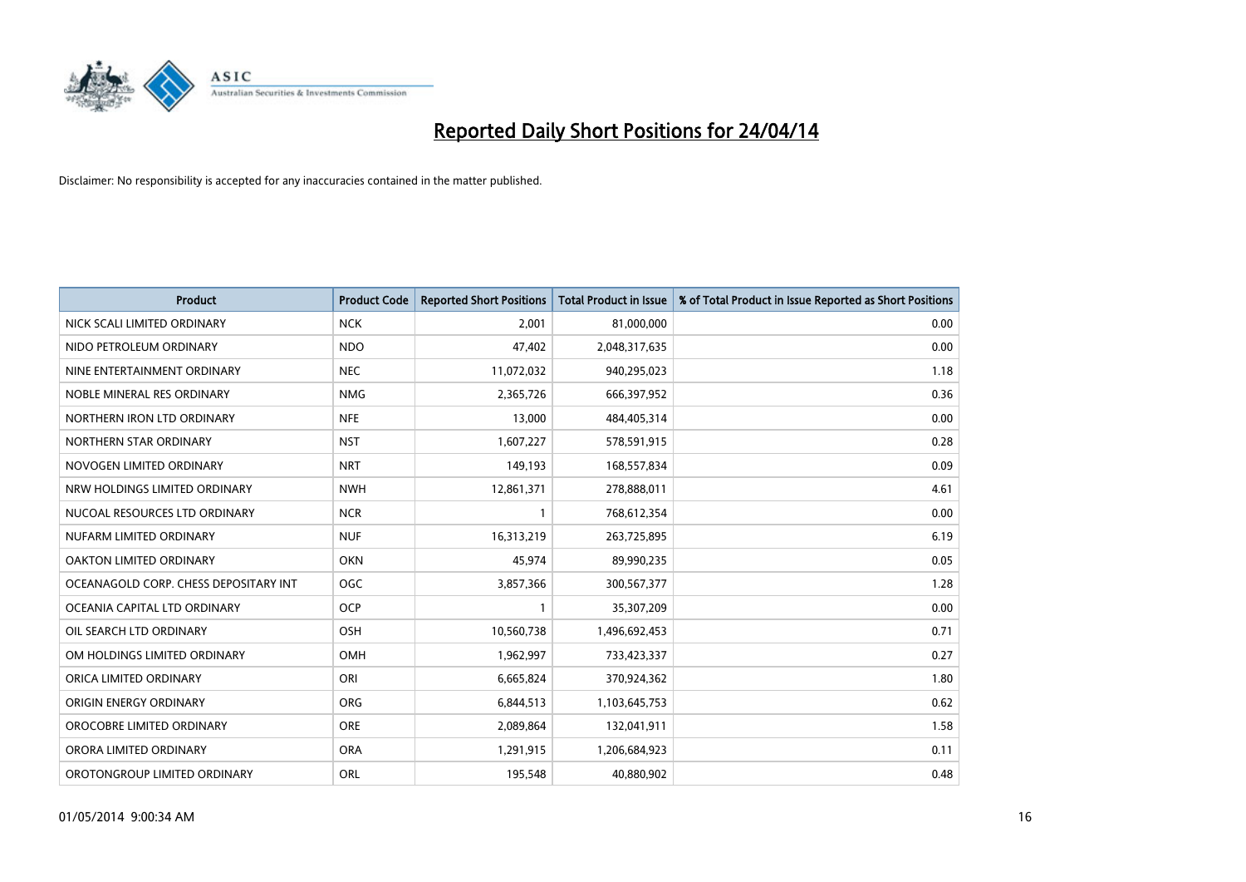

| <b>Product</b>                        | <b>Product Code</b> | <b>Reported Short Positions</b> | <b>Total Product in Issue</b> | % of Total Product in Issue Reported as Short Positions |
|---------------------------------------|---------------------|---------------------------------|-------------------------------|---------------------------------------------------------|
| NICK SCALI LIMITED ORDINARY           | <b>NCK</b>          | 2,001                           | 81,000,000                    | 0.00                                                    |
| NIDO PETROLEUM ORDINARY               | <b>NDO</b>          | 47,402                          | 2,048,317,635                 | 0.00                                                    |
| NINE ENTERTAINMENT ORDINARY           | <b>NEC</b>          | 11,072,032                      | 940,295,023                   | 1.18                                                    |
| NOBLE MINERAL RES ORDINARY            | <b>NMG</b>          | 2,365,726                       | 666,397,952                   | 0.36                                                    |
| NORTHERN IRON LTD ORDINARY            | <b>NFE</b>          | 13,000                          | 484,405,314                   | 0.00                                                    |
| NORTHERN STAR ORDINARY                | <b>NST</b>          | 1,607,227                       | 578,591,915                   | 0.28                                                    |
| NOVOGEN LIMITED ORDINARY              | <b>NRT</b>          | 149,193                         | 168,557,834                   | 0.09                                                    |
| NRW HOLDINGS LIMITED ORDINARY         | <b>NWH</b>          | 12,861,371                      | 278,888,011                   | 4.61                                                    |
| NUCOAL RESOURCES LTD ORDINARY         | <b>NCR</b>          |                                 | 768,612,354                   | 0.00                                                    |
| NUFARM LIMITED ORDINARY               | <b>NUF</b>          | 16,313,219                      | 263,725,895                   | 6.19                                                    |
| OAKTON LIMITED ORDINARY               | <b>OKN</b>          | 45,974                          | 89,990,235                    | 0.05                                                    |
| OCEANAGOLD CORP. CHESS DEPOSITARY INT | <b>OGC</b>          | 3,857,366                       | 300,567,377                   | 1.28                                                    |
| OCEANIA CAPITAL LTD ORDINARY          | <b>OCP</b>          | $\mathbf{1}$                    | 35,307,209                    | 0.00                                                    |
| OIL SEARCH LTD ORDINARY               | OSH                 | 10,560,738                      | 1,496,692,453                 | 0.71                                                    |
| OM HOLDINGS LIMITED ORDINARY          | OMH                 | 1,962,997                       | 733,423,337                   | 0.27                                                    |
| ORICA LIMITED ORDINARY                | ORI                 | 6,665,824                       | 370,924,362                   | 1.80                                                    |
| ORIGIN ENERGY ORDINARY                | ORG                 | 6,844,513                       | 1,103,645,753                 | 0.62                                                    |
| OROCOBRE LIMITED ORDINARY             | <b>ORE</b>          | 2,089,864                       | 132,041,911                   | 1.58                                                    |
| ORORA LIMITED ORDINARY                | <b>ORA</b>          | 1,291,915                       | 1,206,684,923                 | 0.11                                                    |
| OROTONGROUP LIMITED ORDINARY          | ORL                 | 195,548                         | 40,880,902                    | 0.48                                                    |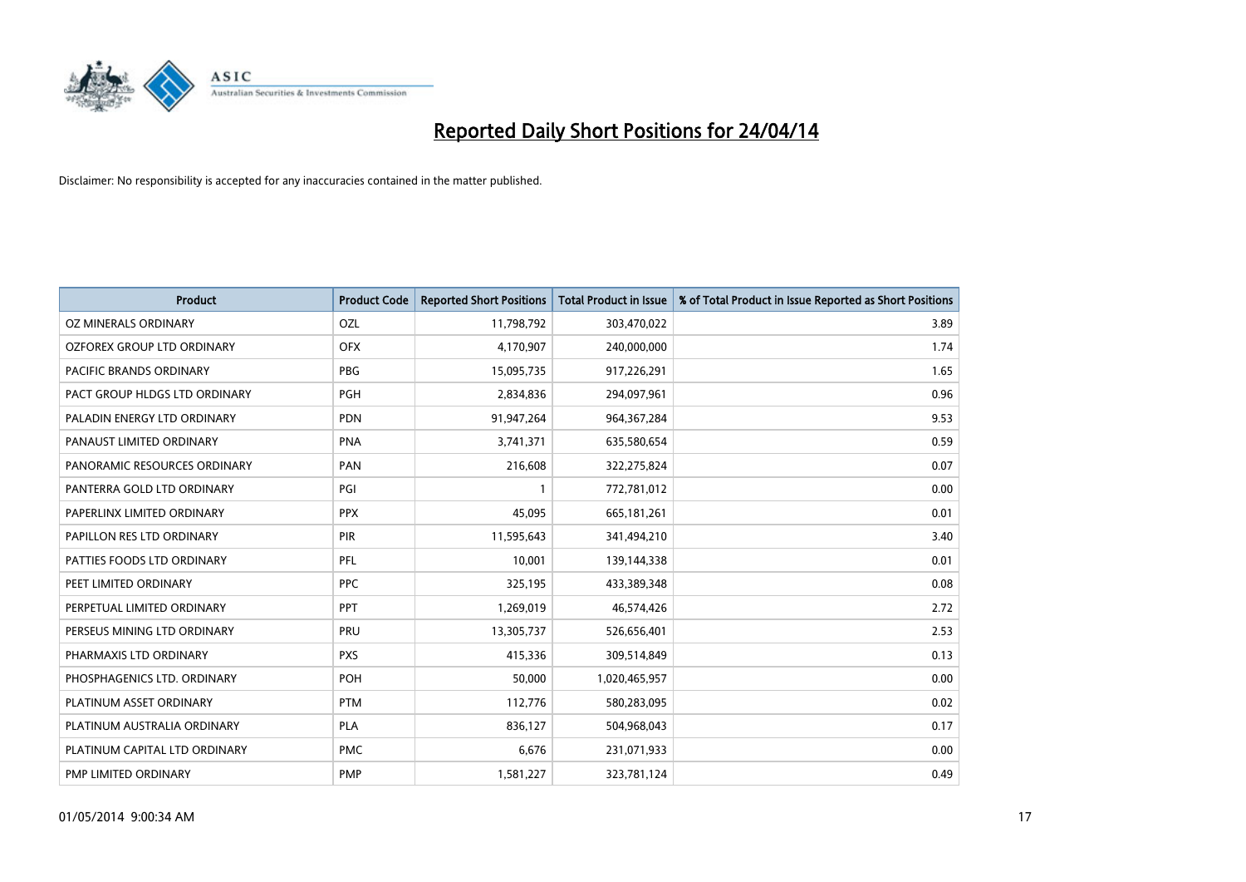

| <b>Product</b>                | <b>Product Code</b> | <b>Reported Short Positions</b> | <b>Total Product in Issue</b> | % of Total Product in Issue Reported as Short Positions |
|-------------------------------|---------------------|---------------------------------|-------------------------------|---------------------------------------------------------|
| <b>OZ MINERALS ORDINARY</b>   | <b>OZL</b>          | 11,798,792                      | 303,470,022                   | 3.89                                                    |
| OZFOREX GROUP LTD ORDINARY    | <b>OFX</b>          | 4,170,907                       | 240,000,000                   | 1.74                                                    |
| PACIFIC BRANDS ORDINARY       | <b>PBG</b>          | 15,095,735                      | 917,226,291                   | 1.65                                                    |
| PACT GROUP HLDGS LTD ORDINARY | <b>PGH</b>          | 2,834,836                       | 294,097,961                   | 0.96                                                    |
| PALADIN ENERGY LTD ORDINARY   | <b>PDN</b>          | 91,947,264                      | 964, 367, 284                 | 9.53                                                    |
| PANAUST LIMITED ORDINARY      | <b>PNA</b>          | 3,741,371                       | 635,580,654                   | 0.59                                                    |
| PANORAMIC RESOURCES ORDINARY  | PAN                 | 216,608                         | 322,275,824                   | 0.07                                                    |
| PANTERRA GOLD LTD ORDINARY    | PGI                 | $\mathbf{1}$                    | 772,781,012                   | 0.00                                                    |
| PAPERLINX LIMITED ORDINARY    | <b>PPX</b>          | 45,095                          | 665, 181, 261                 | 0.01                                                    |
| PAPILLON RES LTD ORDINARY     | <b>PIR</b>          | 11,595,643                      | 341,494,210                   | 3.40                                                    |
| PATTIES FOODS LTD ORDINARY    | PFL                 | 10,001                          | 139,144,338                   | 0.01                                                    |
| PEET LIMITED ORDINARY         | <b>PPC</b>          | 325,195                         | 433,389,348                   | 0.08                                                    |
| PERPETUAL LIMITED ORDINARY    | <b>PPT</b>          | 1,269,019                       | 46,574,426                    | 2.72                                                    |
| PERSEUS MINING LTD ORDINARY   | PRU                 | 13,305,737                      | 526,656,401                   | 2.53                                                    |
| PHARMAXIS LTD ORDINARY        | <b>PXS</b>          | 415,336                         | 309,514,849                   | 0.13                                                    |
| PHOSPHAGENICS LTD. ORDINARY   | POH                 | 50,000                          | 1,020,465,957                 | 0.00                                                    |
| PLATINUM ASSET ORDINARY       | <b>PTM</b>          | 112,776                         | 580,283,095                   | 0.02                                                    |
| PLATINUM AUSTRALIA ORDINARY   | <b>PLA</b>          | 836,127                         | 504,968,043                   | 0.17                                                    |
| PLATINUM CAPITAL LTD ORDINARY | <b>PMC</b>          | 6,676                           | 231,071,933                   | 0.00                                                    |
| PMP LIMITED ORDINARY          | <b>PMP</b>          | 1,581,227                       | 323,781,124                   | 0.49                                                    |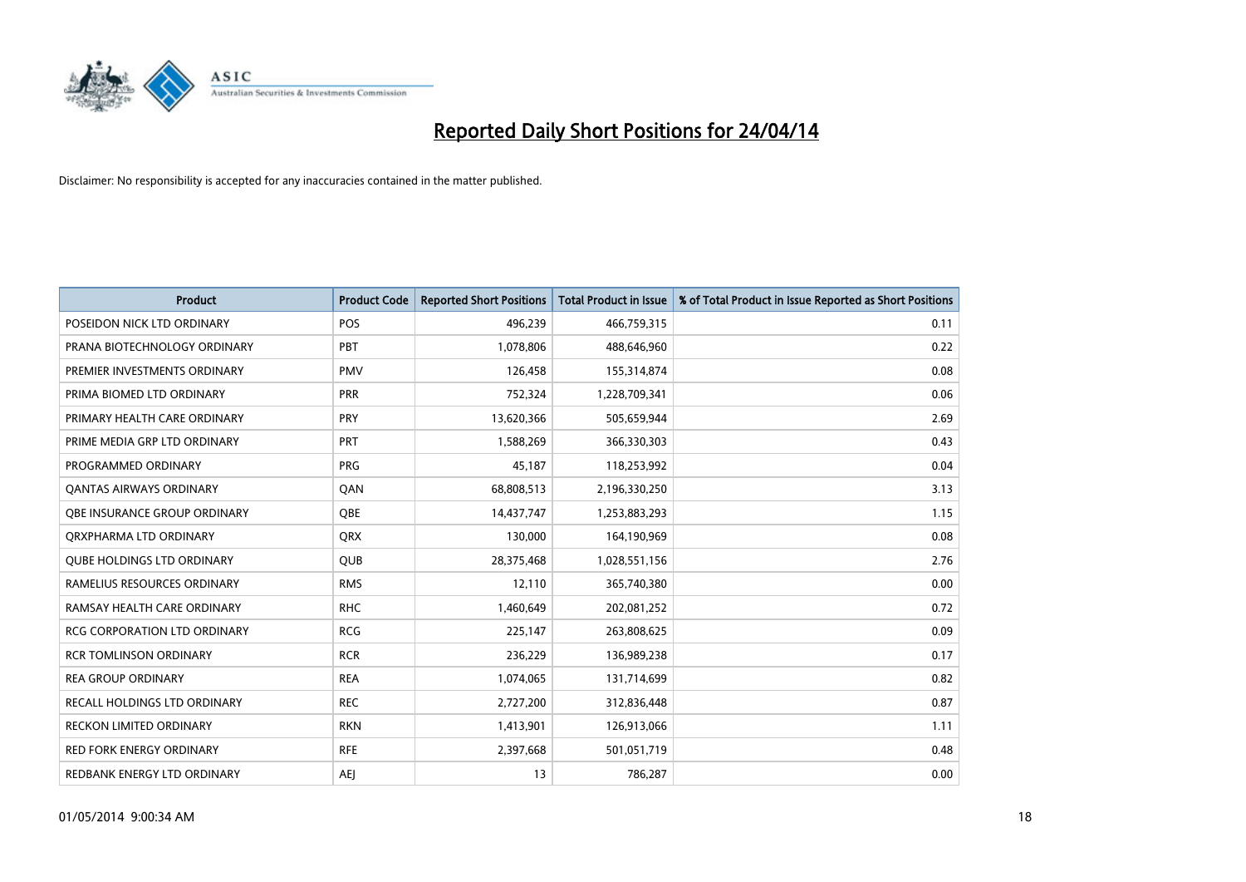

| <b>Product</b>                      | <b>Product Code</b> | <b>Reported Short Positions</b> | <b>Total Product in Issue</b> | % of Total Product in Issue Reported as Short Positions |
|-------------------------------------|---------------------|---------------------------------|-------------------------------|---------------------------------------------------------|
| POSEIDON NICK LTD ORDINARY          | <b>POS</b>          | 496,239                         | 466,759,315                   | 0.11                                                    |
| PRANA BIOTECHNOLOGY ORDINARY        | PBT                 | 1,078,806                       | 488,646,960                   | 0.22                                                    |
| PREMIER INVESTMENTS ORDINARY        | <b>PMV</b>          | 126,458                         | 155,314,874                   | 0.08                                                    |
| PRIMA BIOMED LTD ORDINARY           | <b>PRR</b>          | 752,324                         | 1,228,709,341                 | 0.06                                                    |
| PRIMARY HEALTH CARE ORDINARY        | PRY                 | 13,620,366                      | 505,659,944                   | 2.69                                                    |
| PRIME MEDIA GRP LTD ORDINARY        | PRT                 | 1,588,269                       | 366,330,303                   | 0.43                                                    |
| PROGRAMMED ORDINARY                 | <b>PRG</b>          | 45,187                          | 118,253,992                   | 0.04                                                    |
| <b>QANTAS AIRWAYS ORDINARY</b>      | QAN                 | 68,808,513                      | 2,196,330,250                 | 3.13                                                    |
| OBE INSURANCE GROUP ORDINARY        | OBE                 | 14,437,747                      | 1,253,883,293                 | 1.15                                                    |
| ORXPHARMA LTD ORDINARY              | QRX                 | 130,000                         | 164,190,969                   | 0.08                                                    |
| <b>QUBE HOLDINGS LTD ORDINARY</b>   | QUB                 | 28,375,468                      | 1,028,551,156                 | 2.76                                                    |
| RAMELIUS RESOURCES ORDINARY         | <b>RMS</b>          | 12,110                          | 365,740,380                   | 0.00                                                    |
| RAMSAY HEALTH CARE ORDINARY         | <b>RHC</b>          | 1,460,649                       | 202,081,252                   | 0.72                                                    |
| <b>RCG CORPORATION LTD ORDINARY</b> | <b>RCG</b>          | 225,147                         | 263,808,625                   | 0.09                                                    |
| <b>RCR TOMLINSON ORDINARY</b>       | <b>RCR</b>          | 236,229                         | 136,989,238                   | 0.17                                                    |
| <b>REA GROUP ORDINARY</b>           | <b>REA</b>          | 1,074,065                       | 131,714,699                   | 0.82                                                    |
| RECALL HOLDINGS LTD ORDINARY        | <b>REC</b>          | 2,727,200                       | 312,836,448                   | 0.87                                                    |
| <b>RECKON LIMITED ORDINARY</b>      | <b>RKN</b>          | 1,413,901                       | 126,913,066                   | 1.11                                                    |
| <b>RED FORK ENERGY ORDINARY</b>     | <b>RFE</b>          | 2,397,668                       | 501,051,719                   | 0.48                                                    |
| REDBANK ENERGY LTD ORDINARY         | AEJ                 | 13                              | 786,287                       | 0.00                                                    |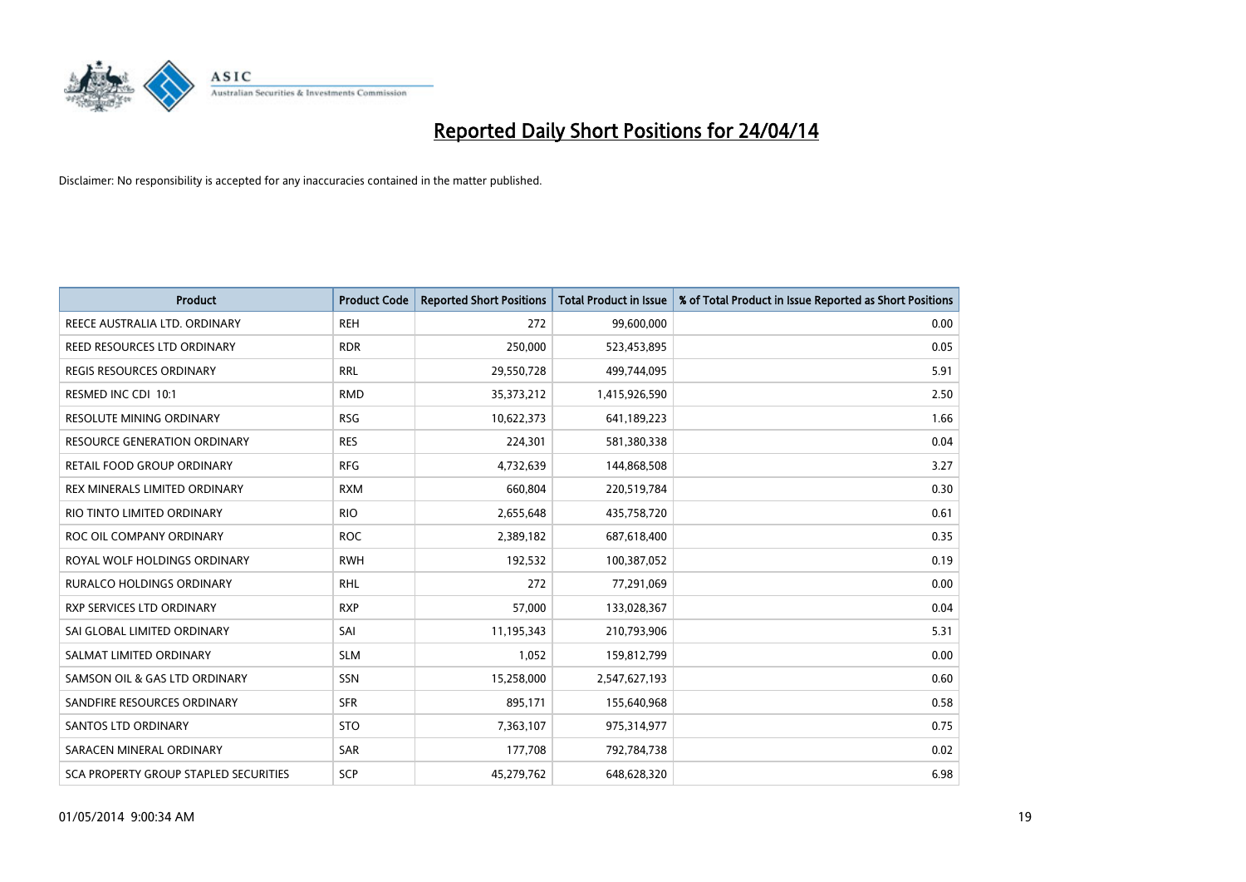

| <b>Product</b>                        | <b>Product Code</b> | <b>Reported Short Positions</b> | <b>Total Product in Issue</b> | % of Total Product in Issue Reported as Short Positions |
|---------------------------------------|---------------------|---------------------------------|-------------------------------|---------------------------------------------------------|
| REECE AUSTRALIA LTD. ORDINARY         | <b>REH</b>          | 272                             | 99,600,000                    | 0.00                                                    |
| REED RESOURCES LTD ORDINARY           | <b>RDR</b>          | 250,000                         | 523,453,895                   | 0.05                                                    |
| <b>REGIS RESOURCES ORDINARY</b>       | <b>RRL</b>          | 29,550,728                      | 499,744,095                   | 5.91                                                    |
| RESMED INC CDI 10:1                   | <b>RMD</b>          | 35,373,212                      | 1,415,926,590                 | 2.50                                                    |
| <b>RESOLUTE MINING ORDINARY</b>       | <b>RSG</b>          | 10,622,373                      | 641,189,223                   | 1.66                                                    |
| <b>RESOURCE GENERATION ORDINARY</b>   | <b>RES</b>          | 224,301                         | 581,380,338                   | 0.04                                                    |
| RETAIL FOOD GROUP ORDINARY            | <b>RFG</b>          | 4,732,639                       | 144,868,508                   | 3.27                                                    |
| REX MINERALS LIMITED ORDINARY         | <b>RXM</b>          | 660,804                         | 220,519,784                   | 0.30                                                    |
| RIO TINTO LIMITED ORDINARY            | <b>RIO</b>          | 2,655,648                       | 435,758,720                   | 0.61                                                    |
| ROC OIL COMPANY ORDINARY              | <b>ROC</b>          | 2,389,182                       | 687,618,400                   | 0.35                                                    |
| ROYAL WOLF HOLDINGS ORDINARY          | <b>RWH</b>          | 192,532                         | 100,387,052                   | 0.19                                                    |
| RURALCO HOLDINGS ORDINARY             | <b>RHL</b>          | 272                             | 77,291,069                    | 0.00                                                    |
| RXP SERVICES LTD ORDINARY             | <b>RXP</b>          | 57,000                          | 133,028,367                   | 0.04                                                    |
| SAI GLOBAL LIMITED ORDINARY           | SAI                 | 11,195,343                      | 210,793,906                   | 5.31                                                    |
| SALMAT LIMITED ORDINARY               | <b>SLM</b>          | 1,052                           | 159,812,799                   | 0.00                                                    |
| SAMSON OIL & GAS LTD ORDINARY         | SSN                 | 15,258,000                      | 2,547,627,193                 | 0.60                                                    |
| SANDFIRE RESOURCES ORDINARY           | <b>SFR</b>          | 895,171                         | 155,640,968                   | 0.58                                                    |
| SANTOS LTD ORDINARY                   | <b>STO</b>          | 7,363,107                       | 975,314,977                   | 0.75                                                    |
| SARACEN MINERAL ORDINARY              | <b>SAR</b>          | 177,708                         | 792,784,738                   | 0.02                                                    |
| SCA PROPERTY GROUP STAPLED SECURITIES | SCP                 | 45,279,762                      | 648,628,320                   | 6.98                                                    |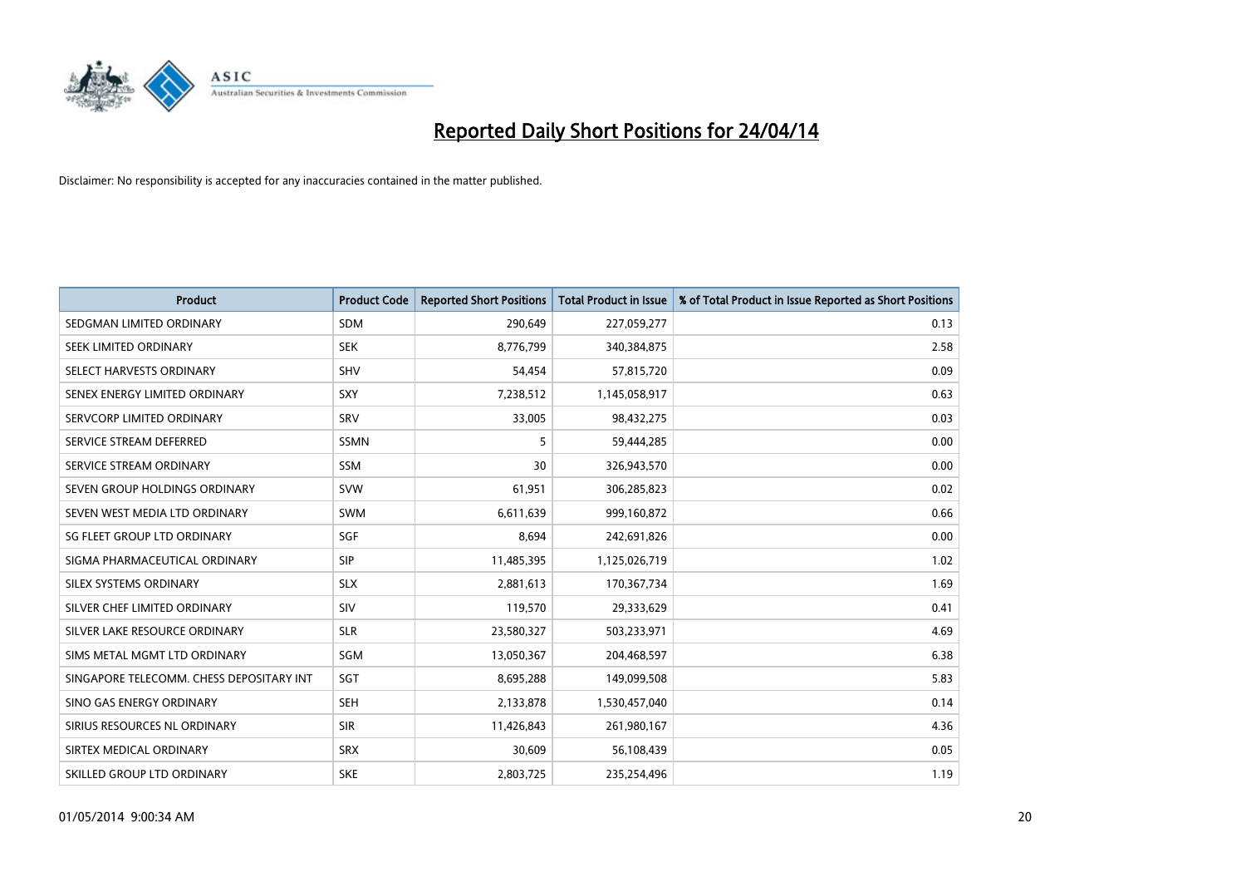

| <b>Product</b>                           | <b>Product Code</b> | <b>Reported Short Positions</b> | <b>Total Product in Issue</b> | % of Total Product in Issue Reported as Short Positions |
|------------------------------------------|---------------------|---------------------------------|-------------------------------|---------------------------------------------------------|
| SEDGMAN LIMITED ORDINARY                 | <b>SDM</b>          | 290,649                         | 227,059,277                   | 0.13                                                    |
| SEEK LIMITED ORDINARY                    | <b>SEK</b>          | 8,776,799                       | 340,384,875                   | 2.58                                                    |
| SELECT HARVESTS ORDINARY                 | <b>SHV</b>          | 54,454                          | 57,815,720                    | 0.09                                                    |
| SENEX ENERGY LIMITED ORDINARY            | <b>SXY</b>          | 7,238,512                       | 1,145,058,917                 | 0.63                                                    |
| SERVCORP LIMITED ORDINARY                | SRV                 | 33,005                          | 98,432,275                    | 0.03                                                    |
| SERVICE STREAM DEFERRED                  | SSMN                | 5                               | 59,444,285                    | 0.00                                                    |
| SERVICE STREAM ORDINARY                  | <b>SSM</b>          | 30                              | 326,943,570                   | 0.00                                                    |
| SEVEN GROUP HOLDINGS ORDINARY            | <b>SVW</b>          | 61,951                          | 306,285,823                   | 0.02                                                    |
| SEVEN WEST MEDIA LTD ORDINARY            | <b>SWM</b>          | 6,611,639                       | 999,160,872                   | 0.66                                                    |
| SG FLEET GROUP LTD ORDINARY              | SGF                 | 8,694                           | 242,691,826                   | 0.00                                                    |
| SIGMA PHARMACEUTICAL ORDINARY            | <b>SIP</b>          | 11,485,395                      | 1,125,026,719                 | 1.02                                                    |
| <b>SILEX SYSTEMS ORDINARY</b>            | <b>SLX</b>          | 2,881,613                       | 170,367,734                   | 1.69                                                    |
| SILVER CHEF LIMITED ORDINARY             | <b>SIV</b>          | 119,570                         | 29,333,629                    | 0.41                                                    |
| SILVER LAKE RESOURCE ORDINARY            | <b>SLR</b>          | 23,580,327                      | 503,233,971                   | 4.69                                                    |
| SIMS METAL MGMT LTD ORDINARY             | SGM                 | 13,050,367                      | 204,468,597                   | 6.38                                                    |
| SINGAPORE TELECOMM. CHESS DEPOSITARY INT | SGT                 | 8,695,288                       | 149,099,508                   | 5.83                                                    |
| SINO GAS ENERGY ORDINARY                 | SEH                 | 2,133,878                       | 1,530,457,040                 | 0.14                                                    |
| SIRIUS RESOURCES NL ORDINARY             | <b>SIR</b>          | 11,426,843                      | 261,980,167                   | 4.36                                                    |
| SIRTEX MEDICAL ORDINARY                  | <b>SRX</b>          | 30,609                          | 56,108,439                    | 0.05                                                    |
| SKILLED GROUP LTD ORDINARY               | <b>SKE</b>          | 2,803,725                       | 235,254,496                   | 1.19                                                    |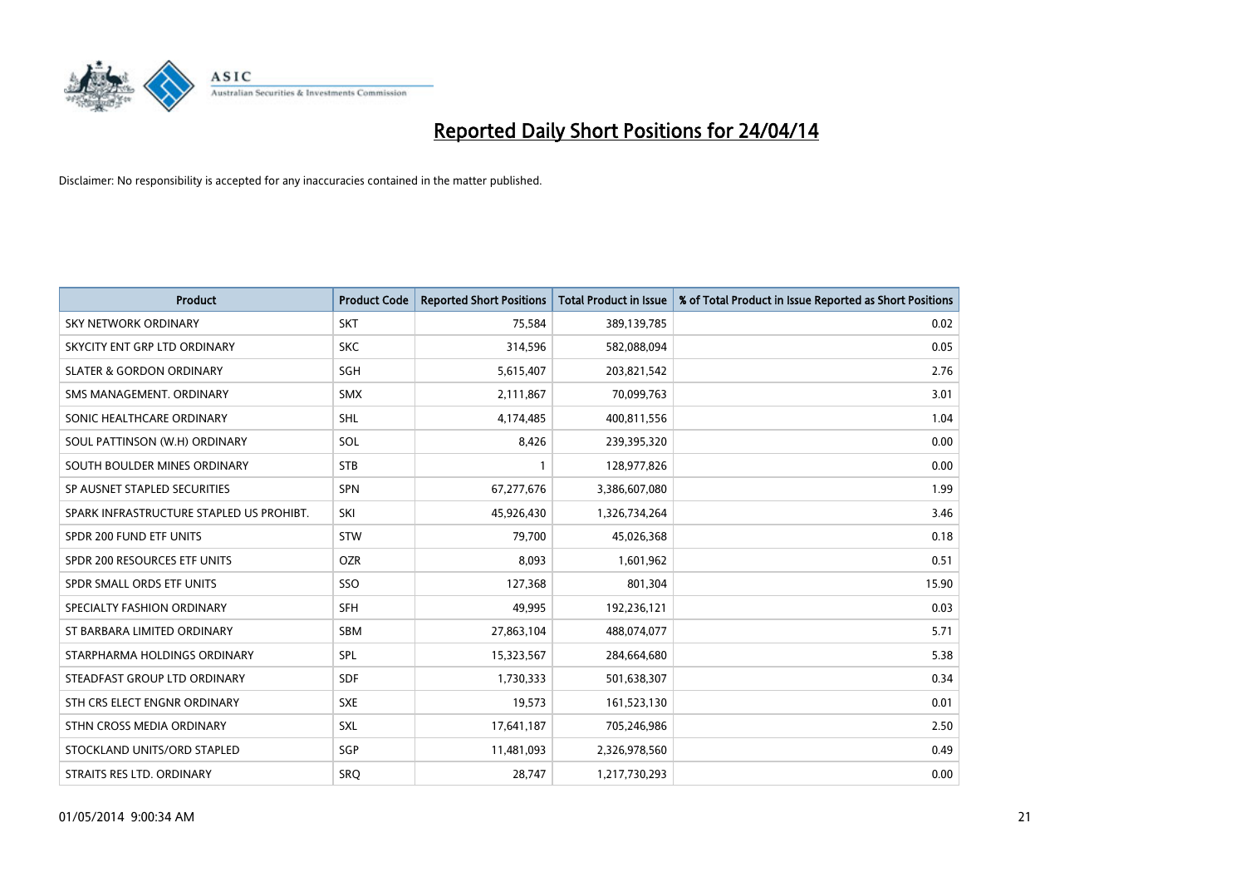

| <b>Product</b>                           | <b>Product Code</b> | <b>Reported Short Positions</b> | <b>Total Product in Issue</b> | % of Total Product in Issue Reported as Short Positions |
|------------------------------------------|---------------------|---------------------------------|-------------------------------|---------------------------------------------------------|
| <b>SKY NETWORK ORDINARY</b>              | <b>SKT</b>          | 75,584                          | 389,139,785                   | 0.02                                                    |
| SKYCITY ENT GRP LTD ORDINARY             | <b>SKC</b>          | 314,596                         | 582,088,094                   | 0.05                                                    |
| <b>SLATER &amp; GORDON ORDINARY</b>      | SGH                 | 5,615,407                       | 203,821,542                   | 2.76                                                    |
| SMS MANAGEMENT. ORDINARY                 | <b>SMX</b>          | 2,111,867                       | 70,099,763                    | 3.01                                                    |
| SONIC HEALTHCARE ORDINARY                | <b>SHL</b>          | 4,174,485                       | 400,811,556                   | 1.04                                                    |
| SOUL PATTINSON (W.H) ORDINARY            | SOL                 | 8,426                           | 239,395,320                   | 0.00                                                    |
| SOUTH BOULDER MINES ORDINARY             | <b>STB</b>          |                                 | 128,977,826                   | 0.00                                                    |
| SP AUSNET STAPLED SECURITIES             | <b>SPN</b>          | 67,277,676                      | 3,386,607,080                 | 1.99                                                    |
| SPARK INFRASTRUCTURE STAPLED US PROHIBT. | SKI                 | 45,926,430                      | 1,326,734,264                 | 3.46                                                    |
| SPDR 200 FUND ETF UNITS                  | <b>STW</b>          | 79,700                          | 45,026,368                    | 0.18                                                    |
| SPDR 200 RESOURCES ETF UNITS             | <b>OZR</b>          | 8,093                           | 1,601,962                     | 0.51                                                    |
| SPDR SMALL ORDS ETF UNITS                | SSO                 | 127,368                         | 801,304                       | 15.90                                                   |
| SPECIALTY FASHION ORDINARY               | <b>SFH</b>          | 49,995                          | 192,236,121                   | 0.03                                                    |
| ST BARBARA LIMITED ORDINARY              | SBM                 | 27,863,104                      | 488,074,077                   | 5.71                                                    |
| STARPHARMA HOLDINGS ORDINARY             | SPL                 | 15,323,567                      | 284,664,680                   | 5.38                                                    |
| STEADFAST GROUP LTD ORDINARY             | SDF                 | 1,730,333                       | 501,638,307                   | 0.34                                                    |
| STH CRS ELECT ENGNR ORDINARY             | <b>SXE</b>          | 19,573                          | 161,523,130                   | 0.01                                                    |
| STHN CROSS MEDIA ORDINARY                | <b>SXL</b>          | 17,641,187                      | 705,246,986                   | 2.50                                                    |
| STOCKLAND UNITS/ORD STAPLED              | SGP                 | 11,481,093                      | 2,326,978,560                 | 0.49                                                    |
| STRAITS RES LTD. ORDINARY                | SRO                 | 28,747                          | 1,217,730,293                 | 0.00                                                    |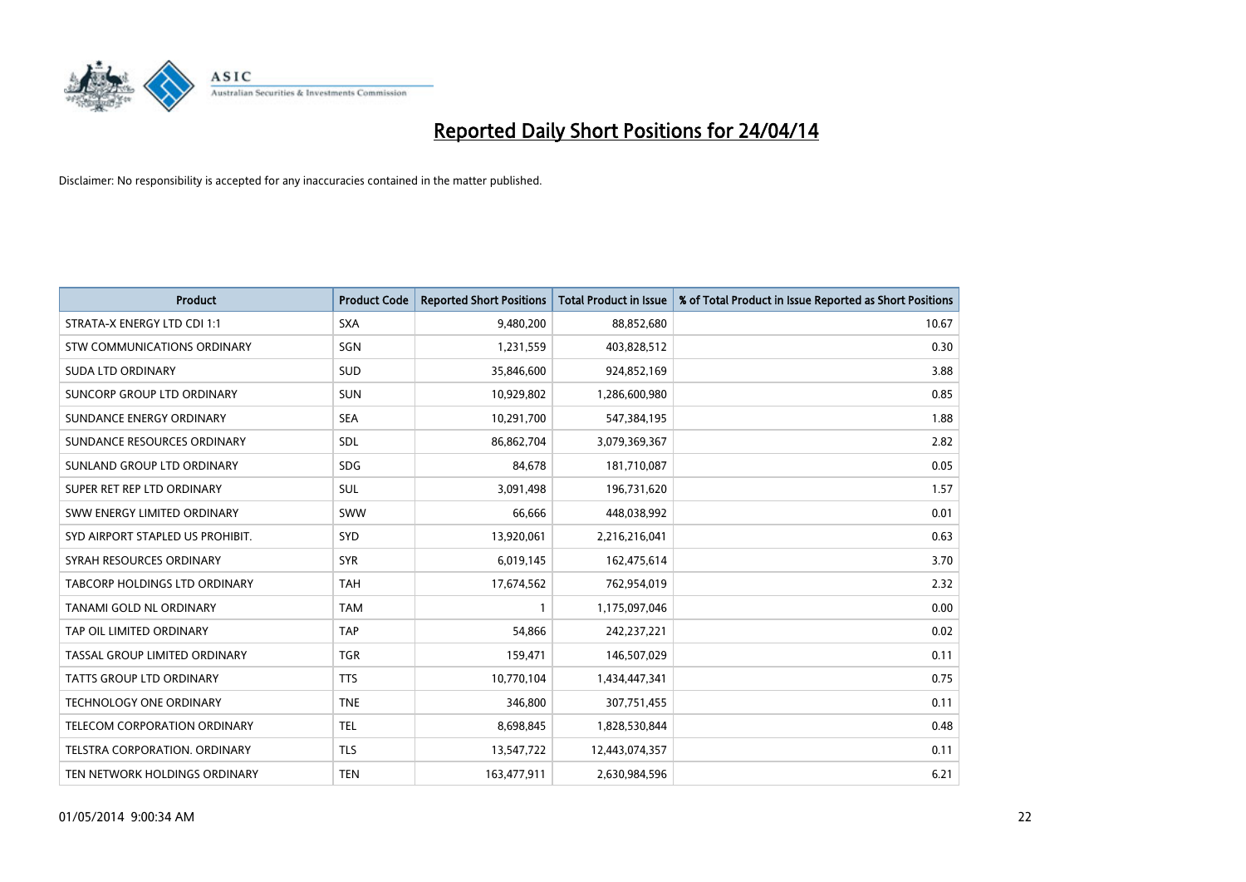

| <b>Product</b>                       | <b>Product Code</b> | <b>Reported Short Positions</b> | <b>Total Product in Issue</b> | % of Total Product in Issue Reported as Short Positions |
|--------------------------------------|---------------------|---------------------------------|-------------------------------|---------------------------------------------------------|
| STRATA-X ENERGY LTD CDI 1:1          | <b>SXA</b>          | 9,480,200                       | 88,852,680                    | 10.67                                                   |
| STW COMMUNICATIONS ORDINARY          | SGN                 | 1,231,559                       | 403,828,512                   | 0.30                                                    |
| <b>SUDA LTD ORDINARY</b>             | SUD                 | 35,846,600                      | 924,852,169                   | 3.88                                                    |
| SUNCORP GROUP LTD ORDINARY           | <b>SUN</b>          | 10,929,802                      | 1,286,600,980                 | 0.85                                                    |
| SUNDANCE ENERGY ORDINARY             | <b>SEA</b>          | 10,291,700                      | 547,384,195                   | 1.88                                                    |
| SUNDANCE RESOURCES ORDINARY          | SDL                 | 86,862,704                      | 3,079,369,367                 | 2.82                                                    |
| SUNLAND GROUP LTD ORDINARY           | <b>SDG</b>          | 84,678                          | 181,710,087                   | 0.05                                                    |
| SUPER RET REP LTD ORDINARY           | SUL                 | 3,091,498                       | 196,731,620                   | 1.57                                                    |
| SWW ENERGY LIMITED ORDINARY          | SWW                 | 66,666                          | 448,038,992                   | 0.01                                                    |
| SYD AIRPORT STAPLED US PROHIBIT.     | <b>SYD</b>          | 13,920,061                      | 2,216,216,041                 | 0.63                                                    |
| SYRAH RESOURCES ORDINARY             | <b>SYR</b>          | 6,019,145                       | 162,475,614                   | 3.70                                                    |
| <b>TABCORP HOLDINGS LTD ORDINARY</b> | <b>TAH</b>          | 17,674,562                      | 762,954,019                   | 2.32                                                    |
| TANAMI GOLD NL ORDINARY              | <b>TAM</b>          | $\mathbf{1}$                    | 1,175,097,046                 | 0.00                                                    |
| TAP OIL LIMITED ORDINARY             | <b>TAP</b>          | 54,866                          | 242,237,221                   | 0.02                                                    |
| TASSAL GROUP LIMITED ORDINARY        | <b>TGR</b>          | 159,471                         | 146,507,029                   | 0.11                                                    |
| TATTS GROUP LTD ORDINARY             | <b>TTS</b>          | 10,770,104                      | 1,434,447,341                 | 0.75                                                    |
| TECHNOLOGY ONE ORDINARY              | <b>TNE</b>          | 346,800                         | 307,751,455                   | 0.11                                                    |
| TELECOM CORPORATION ORDINARY         | <b>TEL</b>          | 8,698,845                       | 1,828,530,844                 | 0.48                                                    |
| TELSTRA CORPORATION, ORDINARY        | <b>TLS</b>          | 13,547,722                      | 12,443,074,357                | 0.11                                                    |
| TEN NETWORK HOLDINGS ORDINARY        | <b>TEN</b>          | 163,477,911                     | 2,630,984,596                 | 6.21                                                    |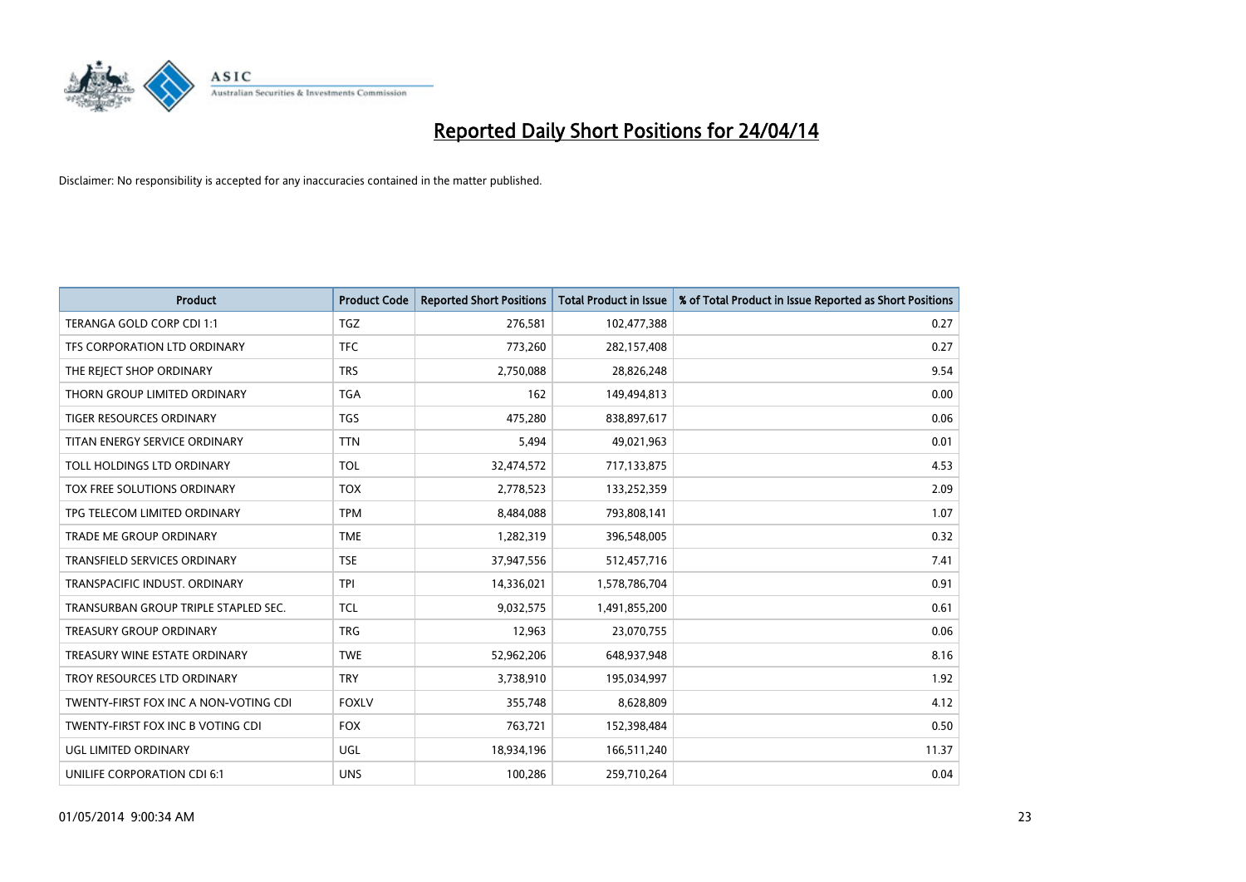

| <b>Product</b>                        | <b>Product Code</b> | <b>Reported Short Positions</b> | <b>Total Product in Issue</b> | % of Total Product in Issue Reported as Short Positions |
|---------------------------------------|---------------------|---------------------------------|-------------------------------|---------------------------------------------------------|
| TERANGA GOLD CORP CDI 1:1             | <b>TGZ</b>          | 276,581                         | 102,477,388                   | 0.27                                                    |
| TFS CORPORATION LTD ORDINARY          | <b>TFC</b>          | 773,260                         | 282,157,408                   | 0.27                                                    |
| THE REJECT SHOP ORDINARY              | <b>TRS</b>          | 2,750,088                       | 28,826,248                    | 9.54                                                    |
| THORN GROUP LIMITED ORDINARY          | <b>TGA</b>          | 162                             | 149,494,813                   | 0.00                                                    |
| <b>TIGER RESOURCES ORDINARY</b>       | <b>TGS</b>          | 475,280                         | 838,897,617                   | 0.06                                                    |
| TITAN ENERGY SERVICE ORDINARY         | <b>TTN</b>          | 5,494                           | 49,021,963                    | 0.01                                                    |
| TOLL HOLDINGS LTD ORDINARY            | <b>TOL</b>          | 32,474,572                      | 717,133,875                   | 4.53                                                    |
| TOX FREE SOLUTIONS ORDINARY           | <b>TOX</b>          | 2,778,523                       | 133,252,359                   | 2.09                                                    |
| TPG TELECOM LIMITED ORDINARY          | <b>TPM</b>          | 8,484,088                       | 793,808,141                   | 1.07                                                    |
| <b>TRADE ME GROUP ORDINARY</b>        | <b>TME</b>          | 1,282,319                       | 396,548,005                   | 0.32                                                    |
| TRANSFIELD SERVICES ORDINARY          | <b>TSE</b>          | 37,947,556                      | 512,457,716                   | 7.41                                                    |
| TRANSPACIFIC INDUST, ORDINARY         | <b>TPI</b>          | 14,336,021                      | 1,578,786,704                 | 0.91                                                    |
| TRANSURBAN GROUP TRIPLE STAPLED SEC.  | TCL                 | 9,032,575                       | 1,491,855,200                 | 0.61                                                    |
| <b>TREASURY GROUP ORDINARY</b>        | <b>TRG</b>          | 12,963                          | 23,070,755                    | 0.06                                                    |
| TREASURY WINE ESTATE ORDINARY         | <b>TWE</b>          | 52,962,206                      | 648,937,948                   | 8.16                                                    |
| TROY RESOURCES LTD ORDINARY           | <b>TRY</b>          | 3,738,910                       | 195,034,997                   | 1.92                                                    |
| TWENTY-FIRST FOX INC A NON-VOTING CDI | <b>FOXLV</b>        | 355,748                         | 8,628,809                     | 4.12                                                    |
| TWENTY-FIRST FOX INC B VOTING CDI     | <b>FOX</b>          | 763,721                         | 152,398,484                   | 0.50                                                    |
| UGL LIMITED ORDINARY                  | UGL                 | 18,934,196                      | 166,511,240                   | 11.37                                                   |
| UNILIFE CORPORATION CDI 6:1           | <b>UNS</b>          | 100,286                         | 259,710,264                   | 0.04                                                    |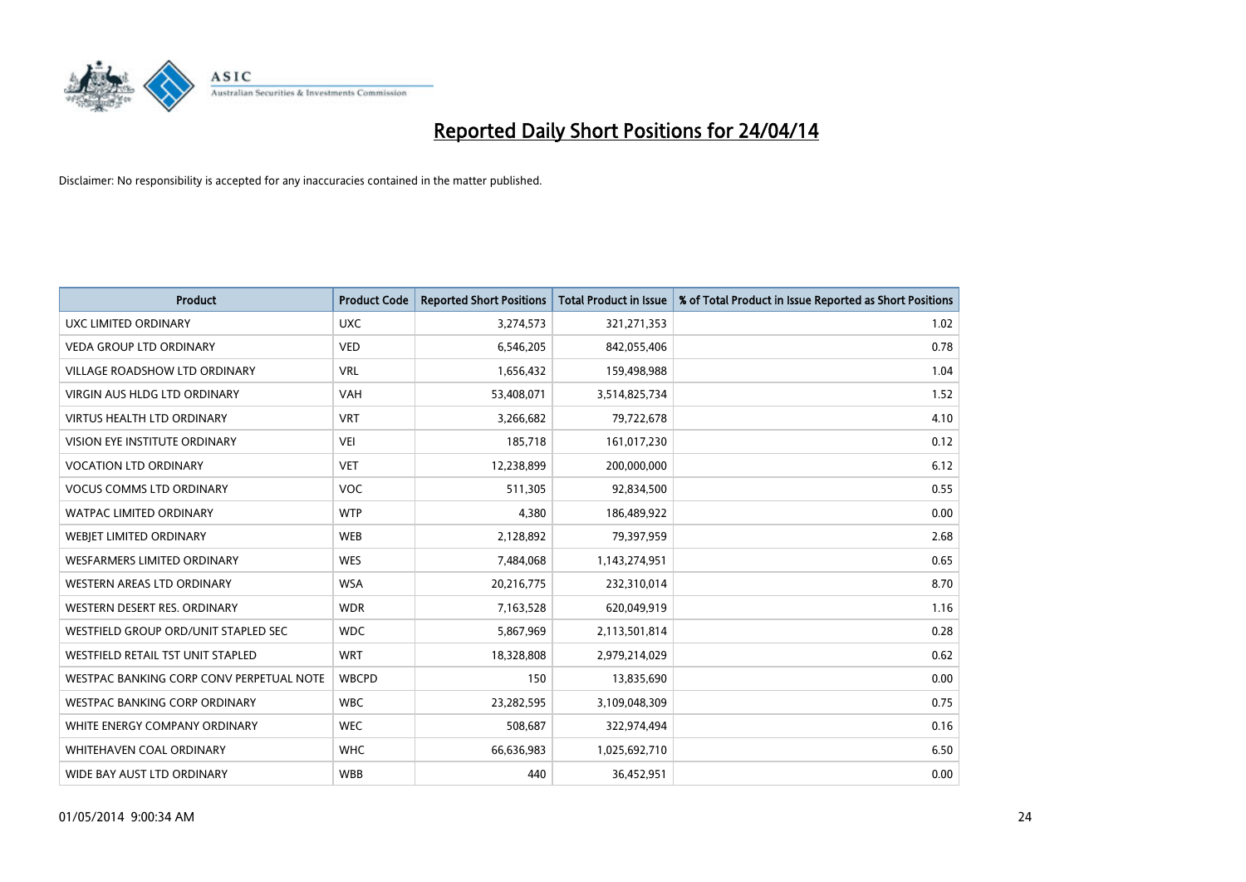

| <b>Product</b>                           | <b>Product Code</b> | <b>Reported Short Positions</b> | <b>Total Product in Issue</b> | % of Total Product in Issue Reported as Short Positions |
|------------------------------------------|---------------------|---------------------------------|-------------------------------|---------------------------------------------------------|
| UXC LIMITED ORDINARY                     | <b>UXC</b>          | 3,274,573                       | 321,271,353                   | 1.02                                                    |
| <b>VEDA GROUP LTD ORDINARY</b>           | <b>VED</b>          | 6,546,205                       | 842,055,406                   | 0.78                                                    |
| <b>VILLAGE ROADSHOW LTD ORDINARY</b>     | <b>VRL</b>          | 1,656,432                       | 159,498,988                   | 1.04                                                    |
| <b>VIRGIN AUS HLDG LTD ORDINARY</b>      | <b>VAH</b>          | 53,408,071                      | 3,514,825,734                 | 1.52                                                    |
| <b>VIRTUS HEALTH LTD ORDINARY</b>        | <b>VRT</b>          | 3,266,682                       | 79,722,678                    | 4.10                                                    |
| VISION EYE INSTITUTE ORDINARY            | <b>VEI</b>          | 185,718                         | 161,017,230                   | 0.12                                                    |
| <b>VOCATION LTD ORDINARY</b>             | <b>VET</b>          | 12,238,899                      | 200,000,000                   | 6.12                                                    |
| <b>VOCUS COMMS LTD ORDINARY</b>          | VOC                 | 511,305                         | 92,834,500                    | 0.55                                                    |
| <b>WATPAC LIMITED ORDINARY</b>           | <b>WTP</b>          | 4,380                           | 186,489,922                   | 0.00                                                    |
| WEBIET LIMITED ORDINARY                  | <b>WEB</b>          | 2,128,892                       | 79,397,959                    | 2.68                                                    |
| WESFARMERS LIMITED ORDINARY              | <b>WES</b>          | 7,484,068                       | 1,143,274,951                 | 0.65                                                    |
| <b>WESTERN AREAS LTD ORDINARY</b>        | <b>WSA</b>          | 20,216,775                      | 232,310,014                   | 8.70                                                    |
| WESTERN DESERT RES. ORDINARY             | <b>WDR</b>          | 7,163,528                       | 620,049,919                   | 1.16                                                    |
| WESTFIELD GROUP ORD/UNIT STAPLED SEC     | <b>WDC</b>          | 5,867,969                       | 2,113,501,814                 | 0.28                                                    |
| WESTFIELD RETAIL TST UNIT STAPLED        | <b>WRT</b>          | 18,328,808                      | 2,979,214,029                 | 0.62                                                    |
| WESTPAC BANKING CORP CONV PERPETUAL NOTE | <b>WBCPD</b>        | 150                             | 13,835,690                    | 0.00                                                    |
| <b>WESTPAC BANKING CORP ORDINARY</b>     | <b>WBC</b>          | 23,282,595                      | 3,109,048,309                 | 0.75                                                    |
| WHITE ENERGY COMPANY ORDINARY            | <b>WEC</b>          | 508,687                         | 322,974,494                   | 0.16                                                    |
| WHITEHAVEN COAL ORDINARY                 | <b>WHC</b>          | 66,636,983                      | 1,025,692,710                 | 6.50                                                    |
| WIDE BAY AUST LTD ORDINARY               | <b>WBB</b>          | 440                             | 36,452,951                    | 0.00                                                    |